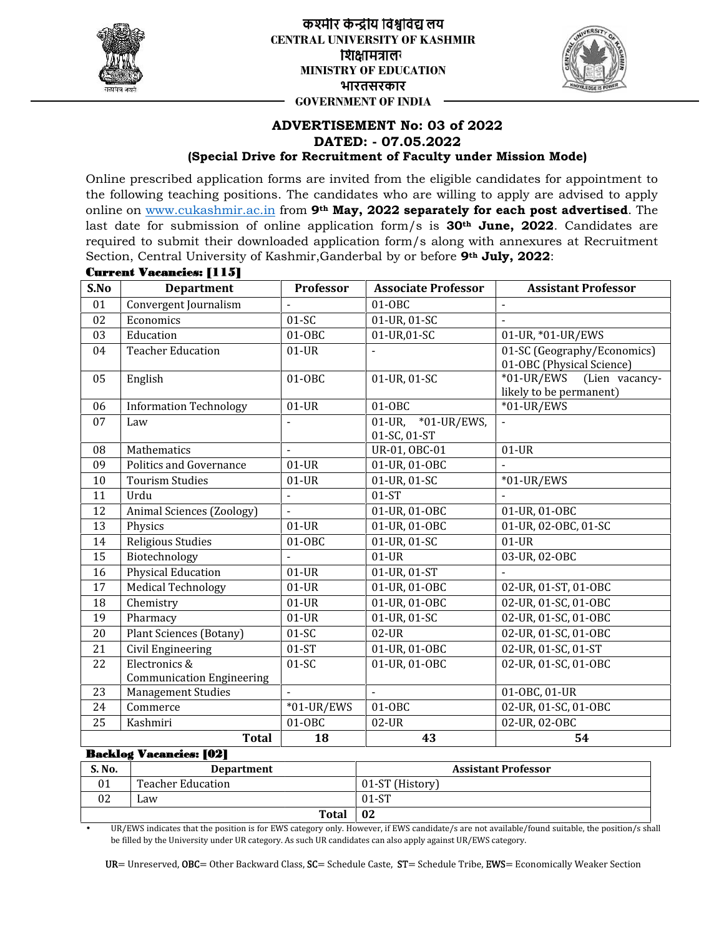

**लय लयCENTRAL UNIVERSITY OF KASHMIR** शिक्षामंत्रालग **MINISTRY OF EDUCATION भारतसरकार GOVERNMENT OF INDIA**



## **ADVERTISEMENT No: 03 of 2022 DATED: - 07.05.2022 (Special Drive for Recruitment of Faculty under Mission Mode)**

|              |                                                                                                                     |                   | <b>ADVERTISEMENT No: 03 of 2022</b><br>DATED: - 07.05.2022    |                                                                                                                                                                                                                                                                                                                                                                                                                    |
|--------------|---------------------------------------------------------------------------------------------------------------------|-------------------|---------------------------------------------------------------|--------------------------------------------------------------------------------------------------------------------------------------------------------------------------------------------------------------------------------------------------------------------------------------------------------------------------------------------------------------------------------------------------------------------|
|              |                                                                                                                     |                   | (Special Drive for Recruitment of Faculty under Mission Mode) |                                                                                                                                                                                                                                                                                                                                                                                                                    |
|              |                                                                                                                     |                   |                                                               | Online prescribed application forms are invited from the eligible candidates for appointment to<br>the following teaching positions. The candidates who are willing to apply are advised to apply<br>online on www.cukashmir.ac.in from 9 <sup>th</sup> May, 2022 separately for each post advertised. The<br>last date for submission of online application form/s is 30 <sup>th</sup> June, 2022. Candidates are |
|              |                                                                                                                     |                   |                                                               | required to submit their downloaded application form/s along with annexures at Recruitment                                                                                                                                                                                                                                                                                                                         |
|              | Section, Central University of Kashmir, Ganderbal by or before 9th July, 2022:                                      |                   |                                                               |                                                                                                                                                                                                                                                                                                                                                                                                                    |
| S.No         | <b>Current Vacancies: [115]</b><br><b>Department</b>                                                                | Professor         | <b>Associate Professor</b>                                    | <b>Assistant Professor</b>                                                                                                                                                                                                                                                                                                                                                                                         |
| 01           | Convergent Journalism                                                                                               |                   | 01-OBC                                                        | $\blacksquare$                                                                                                                                                                                                                                                                                                                                                                                                     |
| 02           | Economics                                                                                                           | $01-SC$           | 01-UR, 01-SC                                                  |                                                                                                                                                                                                                                                                                                                                                                                                                    |
| 03           | Education                                                                                                           | 01-0BC            | 01-UR,01-SC                                                   | 01-UR, *01-UR/EWS                                                                                                                                                                                                                                                                                                                                                                                                  |
| 04<br>05     | <b>Teacher Education</b><br>English                                                                                 | $01-UR$<br>01-0BC | 01-UR, 01-SC                                                  | 01-SC (Geography/Economics)<br>01-OBC (Physical Science)<br>$*01$ -UR/EWS<br>(Lien vacancy-<br>likely to be permanent)                                                                                                                                                                                                                                                                                             |
| 06           | <b>Information Technology</b>                                                                                       | $01-UR$           | 01-0BC                                                        | $*01$ -UR/EWS                                                                                                                                                                                                                                                                                                                                                                                                      |
| 07           | Law                                                                                                                 |                   | 01-UR, *01-UR/EWS,<br>01-SC, 01-ST                            |                                                                                                                                                                                                                                                                                                                                                                                                                    |
| 08           | Mathematics                                                                                                         | $\frac{1}{2}$     | UR-01, OBC-01                                                 | $01-UR$                                                                                                                                                                                                                                                                                                                                                                                                            |
| 09           | Politics and Governance                                                                                             | $01-UR$           | 01-UR, 01-OBC                                                 |                                                                                                                                                                                                                                                                                                                                                                                                                    |
| 10           | <b>Tourism Studies</b>                                                                                              | $01-UR$           | 01-UR, 01-SC                                                  | *01-UR/EWS                                                                                                                                                                                                                                                                                                                                                                                                         |
| 11           | Urdu                                                                                                                | $\blacksquare$    | $01-ST$                                                       |                                                                                                                                                                                                                                                                                                                                                                                                                    |
| 12           | Animal Sciences (Zoology)                                                                                           |                   | 01-UR, 01-OBC                                                 | 01-UR, 01-OBC                                                                                                                                                                                                                                                                                                                                                                                                      |
| 13           | Physics                                                                                                             | $01-UR$           | 01-UR, 01-OBC                                                 | 01-UR, 02-OBC, 01-SC                                                                                                                                                                                                                                                                                                                                                                                               |
| 14           | Religious Studies                                                                                                   | 01-0BC            | 01-UR, 01-SC                                                  | $01$ -UR                                                                                                                                                                                                                                                                                                                                                                                                           |
| 15           | Biotechnology                                                                                                       |                   | $01-UR$                                                       | 03-UR, 02-OBC                                                                                                                                                                                                                                                                                                                                                                                                      |
| 16           | Physical Education                                                                                                  | $01-UR$           | 01-UR, 01-ST                                                  | $\Box$                                                                                                                                                                                                                                                                                                                                                                                                             |
| 17           | <b>Medical Technology</b>                                                                                           | $01-UR$           | 01-UR, 01-OBC                                                 | 02-UR, 01-ST, 01-OBC                                                                                                                                                                                                                                                                                                                                                                                               |
| 18           | Chemistry                                                                                                           | $01-UR$           | 01-UR, 01-OBC                                                 | 02-UR, 01-SC, 01-OBC                                                                                                                                                                                                                                                                                                                                                                                               |
| 19           | Pharmacy                                                                                                            | $01-UR$           | 01-UR, 01-SC                                                  | 02-UR, 01-SC, 01-OBC                                                                                                                                                                                                                                                                                                                                                                                               |
| 20           | <b>Plant Sciences (Botany)</b>                                                                                      | $01-SC$           | $02$ -UR                                                      | 02-UR, 01-SC, 01-OBC                                                                                                                                                                                                                                                                                                                                                                                               |
| 21           | Civil Engineering                                                                                                   | $01-ST$           | 01-UR, 01-OBC                                                 | 02-UR, 01-SC, 01-ST                                                                                                                                                                                                                                                                                                                                                                                                |
| 22           | Electronics &<br><b>Communication Engineering</b>                                                                   | $01-SC$           | 01-UR, 01-OBC                                                 | 02-UR, 01-SC, 01-OBC                                                                                                                                                                                                                                                                                                                                                                                               |
| 23           | <b>Management Studies</b>                                                                                           |                   | $\blacksquare$                                                | 01-OBC, 01-UR                                                                                                                                                                                                                                                                                                                                                                                                      |
| 24           | Commerce                                                                                                            | $*01$ -UR/EWS     | 01-0BC                                                        | 02-UR, 01-SC, 01-OBC                                                                                                                                                                                                                                                                                                                                                                                               |
| 25           | Kashmiri                                                                                                            | $01-0BC$          | $02$ -UR                                                      | 02-UR, 02-OBC                                                                                                                                                                                                                                                                                                                                                                                                      |
|              | <b>Total</b>                                                                                                        | 18                | 43                                                            | 54                                                                                                                                                                                                                                                                                                                                                                                                                 |
|              | <b>Backlog Vacancies: [02]</b>                                                                                      |                   |                                                               |                                                                                                                                                                                                                                                                                                                                                                                                                    |
| S. No.<br>01 | <b>Department</b><br><b>Teacher Education</b>                                                                       |                   | 01-ST (History)                                               | <b>Assistant Professor</b>                                                                                                                                                                                                                                                                                                                                                                                         |
| 02           | Law                                                                                                                 |                   | $01-ST$                                                       |                                                                                                                                                                                                                                                                                                                                                                                                                    |
|              |                                                                                                                     | <b>Total</b>      | 02                                                            |                                                                                                                                                                                                                                                                                                                                                                                                                    |
|              | be filled by the University under UR category. As such UR candidates can also apply against UR/EWS category.        |                   |                                                               | UR/EWS indicates that the position is for EWS category only. However, if EWS candidate/s are not available/found suitable, the position/s shall                                                                                                                                                                                                                                                                    |
|              | UR= Unreserved, OBC= Other Backward Class, SC= Schedule Caste, ST= Schedule Tribe, EWS= Economically Weaker Section |                   |                                                               |                                                                                                                                                                                                                                                                                                                                                                                                                    |

#### **Backlog Vacancies: [02]**

| S. No. | <b>Department</b>        | <b>Assistant Professor</b> |
|--------|--------------------------|----------------------------|
| 01     | <b>Teacher Education</b> | 01-ST (History)            |
| 02     | Law                      | $01-ST$                    |
|        | <b>Total</b>             | 02                         |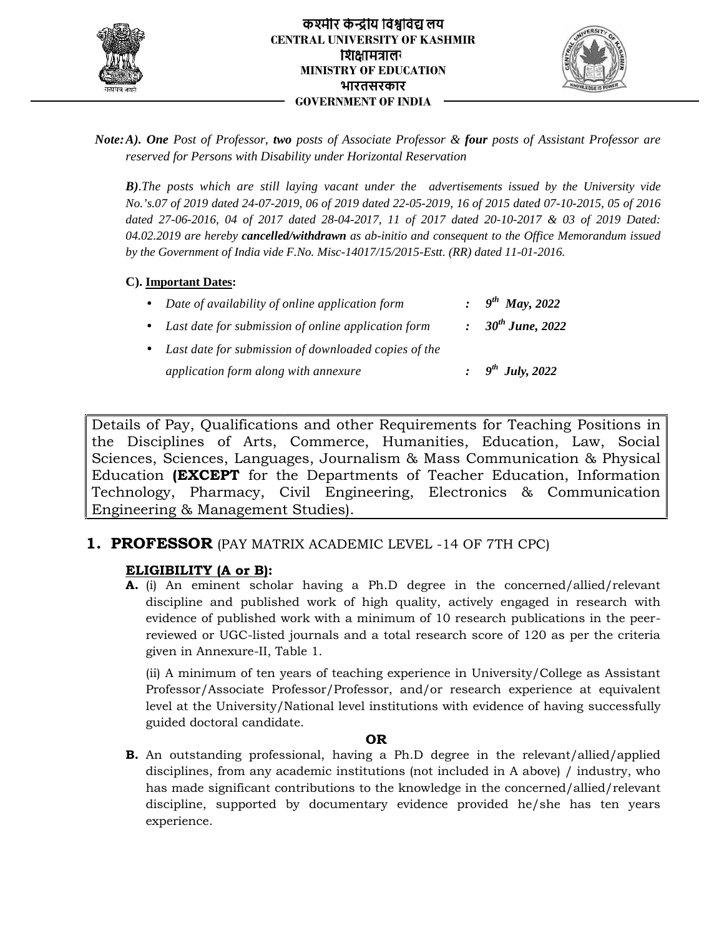



*Note:A). One Post of Professor, two posts of Associate Professor & four posts of Assistant Professor are reserved for Persons with Disability under Horizontal Reservation*

*B).The posts which are still laying vacant under the advertisements issued by the University vide No.'s.07 of 2019 dated 24-07-2019, 06 of 2019 dated 22-05-2019, 16 of 2015 dated 07-10-2015, 05 of 2016 dated 27-06-2016, 04 of 2017 dated 28-04-2017, 11 of 2017 dated 20-10-2017 & 03 of 2019 Dated: 04.02.2019 are hereby cancelled/withdrawn as ab-initio and consequent to the Office Memorandum issued by the Government of India vide F.No. Misc-14017/15/2015-Estt. (RR) dated 11-01-2016.*

**C). Important Dates:**

| • Date of availability of online application form      | : $9^{th}$ May, 2022   |
|--------------------------------------------------------|------------------------|
| • Last date for submission of online application form  | : $30^{th}$ June, 2022 |
| • Last date for submission of downloaded copies of the |                        |
| application form along with annexure                   | : $9^{th}$ July, 2022  |

Details of Pay, Qualifications and other Requirements for Teaching Positions in the Disciplines of Arts, Commerce, Humanities, Education, Law, Social Sciences, Sciences, Languages, Journalism & Mass Communication & Physical Education **(EXCEPT** for the Departments of Teacher Education, Information Technology, Pharmacy, Civil Engineering, Electronics & Communication Engineering & Management Studies). Note: A). One Port of Projetsor, the provision Projetsor Section Figure and the limit of Anti-stress ( $\mu$ ) and the pair of the section of the pair of the section of the section of the pair of the section of the section o Education **(EXCEPT** for the Departments of Teacher Education, Information<br>Technology, Pharmacy, Civil Engineering, Electronics & Communication<br>Engineering&Management Studies). A). One Para of Professor, Ros posts of Associate Professor App posts of the Roscover<br>
Reserved for Persons with Uksiolity usder thereives the determinismed by the University in<br>
19. The posts which are still injeing vaca

# **1. PROFESSOR** (PAY MATRIX ACADEMIC LEVEL -14 OF 7TH CPC)

## **ELIGIBILITY (A or B):**

**A.** (i) An eminent scholar having a Ph.D degree in the concerned/allied/relevant discipline and published work of high quality, actively engaged in research with evidence of published work with a minimum of 10 research publications in the peer reviewed or UGC-listed journals and a total research score of 120 as per the criteria given in Annexure-II, Table 1. nd published work of high quality, actively engaged in res<br>published work with a minimum of 10 research publications i<br>UGC-listed journals and a total research score of 120 as per

(ii) A minimum of ten years of teaching experience in University/College as Assistant Professor/Associate Professor/Professor, and/or research experience at equivalent level at the University/National level institutions with evidence of having successfully guided doctoral candidate.

#### **OR**

**B.** An outstanding professional, having a Ph.D degree in the relevant/allied/applied disciplines, from any academic institutions (not included in A above) / industry, who has made significant contributions to the knowledge in the concerned/allied/relevant discipline, supported by documentary evidence provided he/she has ten years experience. (ii) A minimum of ten years of teaching experience in University/College as Assis<br>Professor/Associate Professor/Professor, and/or research experience at equiva<br>level at the University/National level institutions with evid **B.** An outstanding professional, having a disciplines, from any academic institution<br>has made significant contributions to the discipline, supported by documentary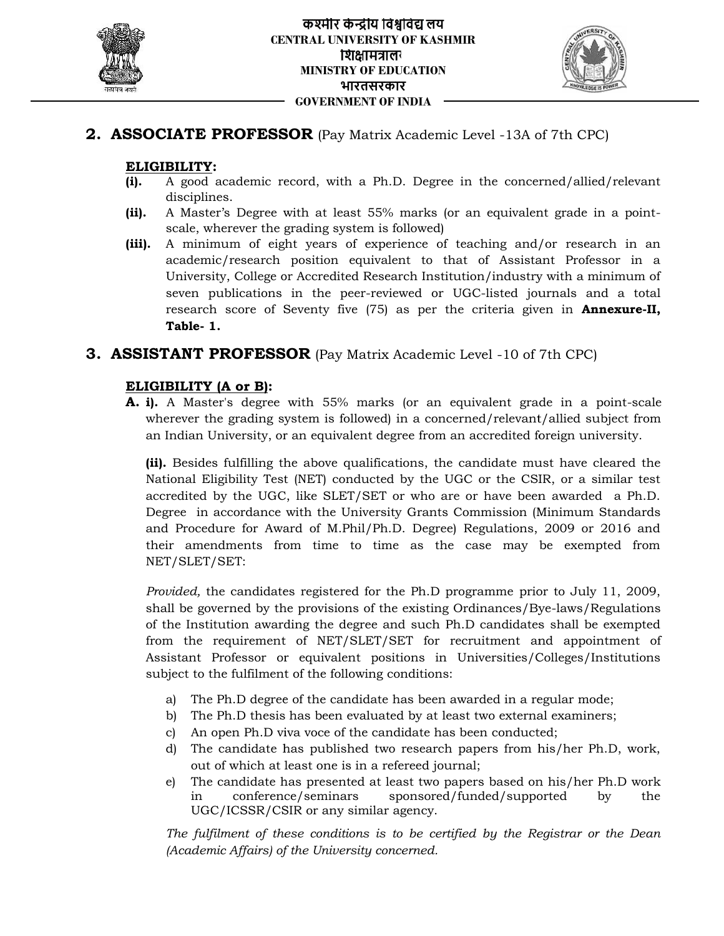



# **2. ASSOCIATE PROFESSOR** (Pay Matrix Academic Level -13A of 7th CPC)

## **ELIGIBILITY:**

- **(i).** A good academic record, with a Ph.D. Degree in the concerned/allied/relevant disciplines.
- **(ii).** A Master's Degree with at least 55% marks (or an equivalent grade in a point scale, wherever the grading system is followed)
- **(iii).** A minimum of eight years of experience of teaching and/or research in an academic/research position equivalent to that of Assistant Professor in a University, College or Accredited Research Institution/industry with a minimum of seven publications in the peer-reviewed or UGC-listed journals and a total research score of Seventy five (75) as per the criteria given in **Annexure-II, Table- 1.**

## **3. ASSISTANT PROFESSOR** (Pay Matrix Academic Level -10 of 7th CPC)

## **ELIGIBILITY (A or B):**

**A. i).** A Master's degree with 55% marks (or an equivalent grade in a point-scale wherever the grading system is followed) in a concerned/relevant/allied subject from an Indian University, or an equivalent degree from an accredited foreign university.

**(ii).** Besides fulfilling the above qualifications, the candidate must have cleared the National Eligibility Test (NET) conducted by the UGC or the CSIR, or a similar test accredited by the UGC, like SLET/SET or who are or have been awarded a Ph.D. Degree in accordance with the University Grants Commission (Minimum Standards and Procedure for Award of M.Phil/Ph.D. Degree) Regulations, 2009 or 2016 and their amendments from time to time as the case may be exempted from NET/SLET/SET: **ELIGIPILITY:** Consider the culture of the system is the constraint of the constraint of the system of the latter of the culture of the culture of the culture of the culture of the culture of the culture of the culture of dited by the UGC, like SLET/SET or who are or have been awarded a Ph.D.<br>e in accordance with the University Grants Commission (Minimum Standards<br>Procedure for Award of M.Phil/Ph.D. Degree) Regulations, 2009 or 2016 and<br>ame **ELIGIBILITY** (A or Breating the homogeneous the tract of the concerned/allied/relevant<br>
(ii). A phasteric Degree with a least 55% marks (or an equivalent grade in a point-<br>
(iii). A Master's Degree with a least 55% marks

*Provided,* the candidates registered for the Ph.D programme prior to July 11, 2009, shall be governed by the provisions of the existing Ordinances/Bye-laws/Regulations of the Institution awarding the degree and such Ph.D candidates shall be exempted from the requirement of NET/SLET/SET for recruitment and appointment of Assistant Professor or equivalent positions in Universities/Colleges/Institutions subject to the fulfilment of the following conditions: requirement of NET/SLET/SET for recruitment and appointm<br>Professor or equivalent positions in Universities/Colleges/Insti<br>he fulfilment of the following conditions:<br>Ph.D degree of the candidate has been awarded in a regula

- a) The Ph.D degree of the candidate has been awarded in a regular mode;
- b) The Ph.D thesis has been evaluated by at least two external examiners;
- c) An open Ph.D viva voce of the candidate has been conducted;
- d) The candidate has published two research papers from his/her Ph.D, work, out of which at least one is in a refereed journal;
- e) The candidate has presented at least two papers based on his/her Ph.D work in conference/seminars sponsored/funded/supported by the UGC/ICSSR/CSIR or any similar agency.

*The fulfilment of these conditions is to be certified by the Registrar or the Dean (Academic Affairs) of the University concerned.*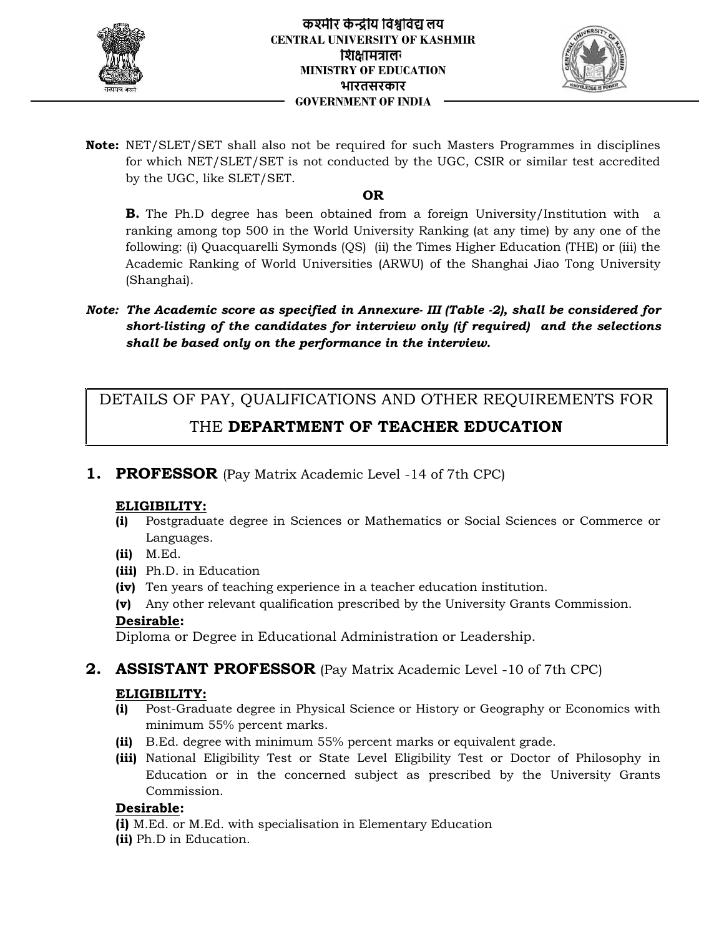



**Note:** NET/SLET/SET shall also not be required for such Masters Programmes in disciplines for which NET/SLET/SET is not conducted by the UGC, CSIR or similar test accredited by the UGC, like SLET/SET.

## **OR**

**B.** The Ph.D degree has been obtained from a foreign University/Institution with a ranking among top 500 in the World University Ranking (at any time) by any one of the following: (i) Quacquarelli Symonds (QS) (ii) the Times Higher Education (THE) or (iii) the Academic Ranking of World Universities (ARWU) of the Shanghai Jiao Tong University (Shanghai). **Note:** NET/SEET/SET and a late one be required for such Master Fregerannes in disciplines<br>for short MET/SET is not conducted by the CCC. CSR or similar test accredited<br>by the UCC, the string the method of the UCC and the NET/SLET/SET shall also not be required for such Master/SLET/SET is not conducted by the UGC, C<br>for which NET/SLET/SET is not conducted by the UGC, C<br>by the UGC, Ike SLET/SET.<br>**B.** The Ph.D degree has been obtained from a

*Note: The Academic score as specified in Annexure- III (Table -2), shall be considered for short-listing of the candidates for interview only (if required) and the selections shall be based only on the performance in the interview.*

# DETAILS OF PAY, QUALIFICATIONS AND OTHER REQUIREMENTS FOR

# THE **DEPARTMENT OF TEACHER EDUCATION**

**1. PROFESSOR** (Pay Matrix Academic Level -14 of 7th CPC)

## **ELIGIBILITY:**

- **(i)** Postgraduate degree in Sciences or Mathematics or Social Sciences or Commerce or Languages.
- **(ii)** M.Ed.
- **(iii)** Ph.D. in Education
- **(iv)** Ten years of teaching experience in a teacher education institution. **(iv)**a teacher institution.
- **(v)** Any other relevant qualification prescribed by the University Grants Commission.

## **Desirable:**

Diploma or Degree in Educational Administration or Leadership.

**2. ASSISTANT PROFESSOR** (Pay Matrix Academic Level -10 of 7th CPC)

## **ELIGIBILITY:**

- **(i)** Post-Graduate degree in Physical Science or History or Geography or Economics with<br>minimum 55% percent marks.<br>**(ii)** B.Ed. degree with minimum 55% percent marks or equivalent grade. minimum 55% percent marks.
- **(ii)** B.Ed. degree with minimum 55% percent marks or equivalent grade.
- **(iii)** National Eligibility Test or State Level Eligibility Test or Doctor of Philosophy in Education or in the concerned subject as prescribed by the University Grants<br>Commission.<br><u>**rable</u>:**<br>.Ed. or M.Ed. with specialisation in Elementary Education</u> Commission.

## **Desirable:**

- **(i)** M.Ed. or M.Ed. with specialisation in Elementary Education
- **(ii)** Ph.D in Education.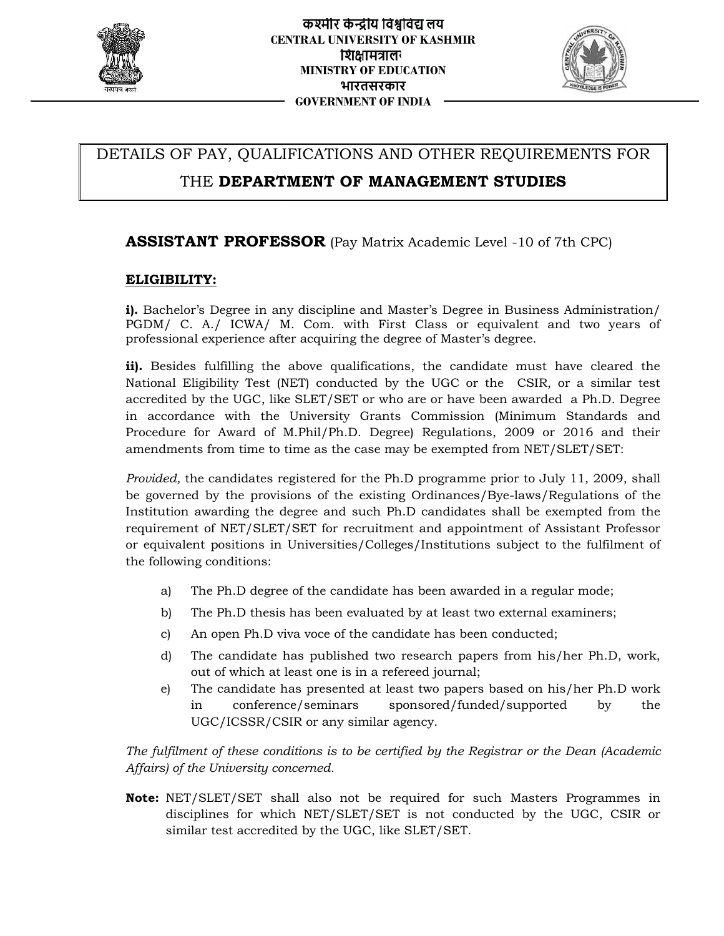



# DETAILS OF PAY, QUALIFICATIONS AND OTHER REQUIREMENTS FOR

# THE **DEPARTMENT OF MANAGEMENT STUDIES**

## **ASSISTANT PROFESSOR** (Pay Matrix Academic Level -10 of 7th CPC)

## **ELIGIBILITY:**

**i).** Bachelor's Degree in any discipline and Master's Degree in Business Administration/ **i).** Bachelor's Degree in any discipline and Master's Degree in Business Administration/<br>PGDM/ C. A./ ICWA/ M. Com. with First Class or equivalent and two years of professional experience after acquiring the degree of Master's degree.

**ii).** Besides fulfilling the above qualifications, the candidate must have cleared the National Eligibility Test (NET) conducted by the UGC or the CSIR, or a similar test accredited by the UGC, like SLET/SET or who are or have been awarded a Ph.D. Degree in accordance with the University Grants Commission (Minimum Standards and Procedure for Award of M.Phil/Ph.D. Degree) Regulations, 2009 or 2016 and their amendments from time to time as the case may be exempted from NET/SLET/SET: nal experience after acquiring the degree of Master's degree.<br>les fulfilling the above qualifications, the candidate must have cleared the<br>Eligibility Test (NET) conducted by the UGC or the  $\,$  CSIR, or a similar test with the University Grants Commission (Minimum Standards and<br>Award of M.Phil/Ph.D. Degree) Regulations, 2009 or 2016 and their<br>from time to time as the case may be exempted from NET/SLET/SET:<br>andidates registered for the P

*Provided,* the candidates registered for the Ph.D programme prior to July 11, 2009, shall be governed by the provisions of the existing Ordinances/Bye-laws/Regulations of the Institution awarding the degree and such Ph.D candidates shall be exempted from the Institution awarding the degree and such Ph.D candidates shall be exempted from the<br>requirement of NET/SLET/SET for recruitment and appointment of Assistant Professor or equivalent positions in Universities/Colleges/Institutions subject to the fulfilment of the following conditions: JFICATIONS AND OTHER REQUIREMENTS FOR<br> **SSOR** (Pay Matrix Academic Level -10 of 7th CPC)<br>
syndiscipline and Master's Degree in Business Administration<br>
M. Com., with Frist Class or equivalent and two years<br>
the requiring t **THE DEPARTMENT OF MANAGEMENT STUDIES**<br> **ASSISTANT PROFESSOR** (Pay Matrix Academic Level -10 of 7th CPC)<br> **ELGIBILITY:**<br> **ABRONIMENT PROFESSOR** (Pay Matrix Academic Level -10 of 7th CPC)<br> **ELGIBILITY:**<br> **ABRONIMENT PROFES** 

- a) The Ph.D degree of the candidate has been awarded in a regular mode;
- b) The Ph.D thesis has been evaluated by at least two external examiners;
- c) An open Ph.D viva voce of the candidate has been conducted;
- d) The candidate has published two research papers from his/her Ph.D, work, out of which at least one is in a refereed journal; by positions in Universities/Colleges/Institutions subject to the fulfilment of<br>onditions:<br>Ph.D degree of the candidate has been awarded in a regular mode;<br>Ph.D thesis has been evaluated by at least two external examiners;
- e) The candidate has presented at least two papers based on his/her Ph.D work in conference/seminars sponsored/funded/supported by the<br>UGC/ICSSR/CSIR or any similar agency. UGC/ICSSR/CSIR or any similar agency.

*The fulfilment of these conditions is to be certified by the Registrar or the Dean (Academic these be Affairs) of the University concerned.*

**Note:** NET/SLET/SET shall also not be required for such Masters Programmes in NET/SLET/SET shall also not be required for such Masters Programmes in<br>disciplines for which NET/SLET/SET is not conducted by the UGC, CSIR or similar test accredited by the UGC, like SLET/SET.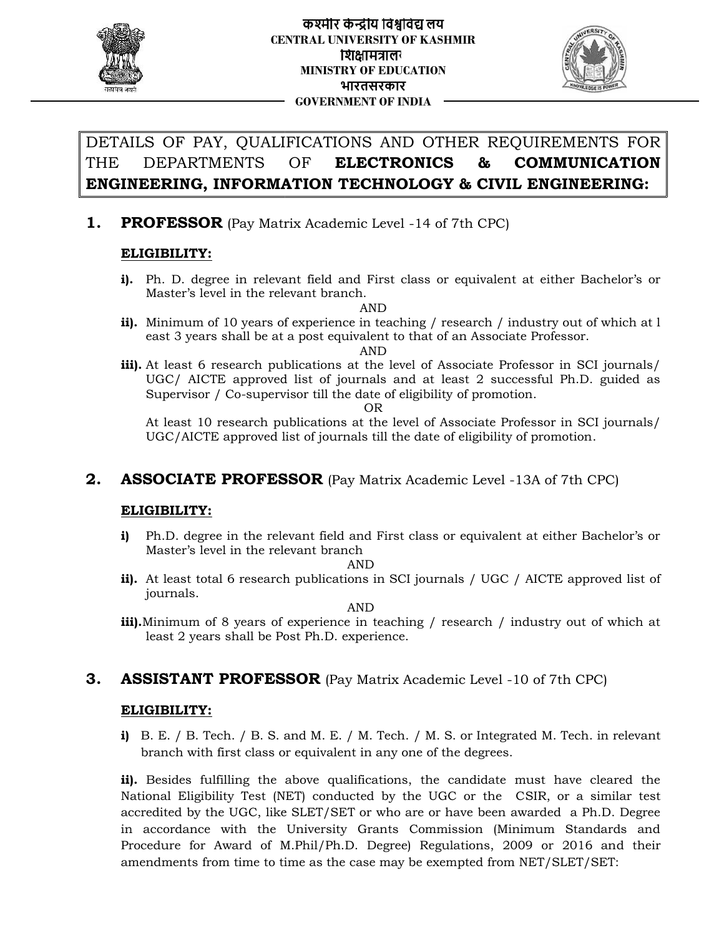



# DETAILS OF PAY, QUALIFICATIONS AND OTHER REQUIREMENTS FOR THE DEPARTMENTS OF **ELECTRONICS & COMMUNICATION ENGINEERING, INFORMATION TECHNOLOGY & CIVIL ENGINEERING:**

## **1. PROFESSOR** (Pay Matrix Academic Level -14 of 7th CPC)

## **ELIGIBILITY:**

**i).** Ph. D. degree in relevant field and First class or equivalent at either Bachelor's or Master's level in the relevant branch.

AND

**ii).** Minimum of 10 years of experience in teaching / research / industry out of which at l Minimum of 10 years of experience in teaching / research / industry out of which at l<br>east 3 years shall be at a post equivalent to that of an Associate Professor.

AND

**iii).** At least 6 research publications at the level of Associate Professor in SCI journals/ UGC/ AICTE approved list of journals and at least 2 successful Ph.D. guided as Supervisor / Co-supervisor till the date of eligibility of promotion. research publications at the level of Associate Professor in SCI journals/<br>C/ AICTE approved list of journals and at least 2 successful Ph.D. guided as<br>pervisor / Co-supervisor till the date of eligibility of promotion.<br>le Minimum of 10 years of<br>east 3 years shall be at<br>At least 6 research pul<br>UGC/ AICTE approved<br>Supervisor / Co-superv<br>At least 10 research pu<br>UGC/AICTE approved l<br>**SOCIATE PROFES<br>GIBILITY:**<br>Ph.D. degree in the rele<br>Master's l

OR

At least 10 research publications at the level of Associate Professor in SCI journals/ UGC/AICTE approved list of journals till the date of eligibility of promotion.

## **2. ASSOCIATE PROFESSOR** (Pay Matrix Academic Level -13A of 7th CPC)

## **ELIGIBILITY: ELIGIBILITY:**

**i)** Ph.D. degree in the relevant field and First class or equivalent at either Bachelor's or Master's level in the relevant branch **i)** Ph.D. degree in the relevant field and First class or equivalent at either Bachelor's or<br>Master's level in the relevant branch<br>**ii).** At least total 6 research publications in SCI journals / UGC / AICTE approved list

AND

journals.

AND

**iii).**Minimum of 8 years of experience in teaching / research / industry out of which at least 2 years shall be Post Ph.D. experience.

# **3. ASSISTANT PROFESSOR** (Pay Matrix Academic Level -10 of 7th CPC)

#### **ELIGIBILITY:**

**i)** B. E. / B. Tech. / B. S. and M. E. / M. Tech. / M. S. or Integrated M. Tech. in relevant branch with first class or equivalent in any one of the degrees.

**ii).** Besides fulfilling the above qualifications, the candidate must have cleared the National Eligibility Test (NET) conducted by the UGC or the CSIR, or a similar test accredited by the UGC, like SLET/SET or who are or have been awarded a Ph.D. Degree in accordance with the University Grants Commission (Minimum Standards and Procedure for Award of M.Phil/Ph.D. Degree) Regulations, 2009 or 2016 and their amendments from time to time as the case may be exempted from NET/SLET/SET: **GP PAY, QUALIFICATIONS AND OTHER RECOTEST SOFT AND CONFIGRATION CONFIGRATION CPARE RECOTENTS FOR EXPECTIVE EXPECTIVE CONFIGRATION RETOR, THE SECTION CREAT AND CONFIGRATION THE CONFIGRATION THE CONFIGRATION THE CONFIGRATIO** B. E. / B. Tech. / B. S. and M. E. / M. Tech. / M. S. or Integrated M. Tech. in relevant<br>branch with first class or equivalent in any one of the degrees.<br>Besides fulfilling the above qualifications, the candidate must have **INFORMATION T**<br> **R** (Pay Matrix Acade:<br>
ree in relevant field a<br>
ree in the relevant branching of 10 years of experiences<br>
s shall be at a post equences in the proced list of jc<br>
research publications<br>
E approved list of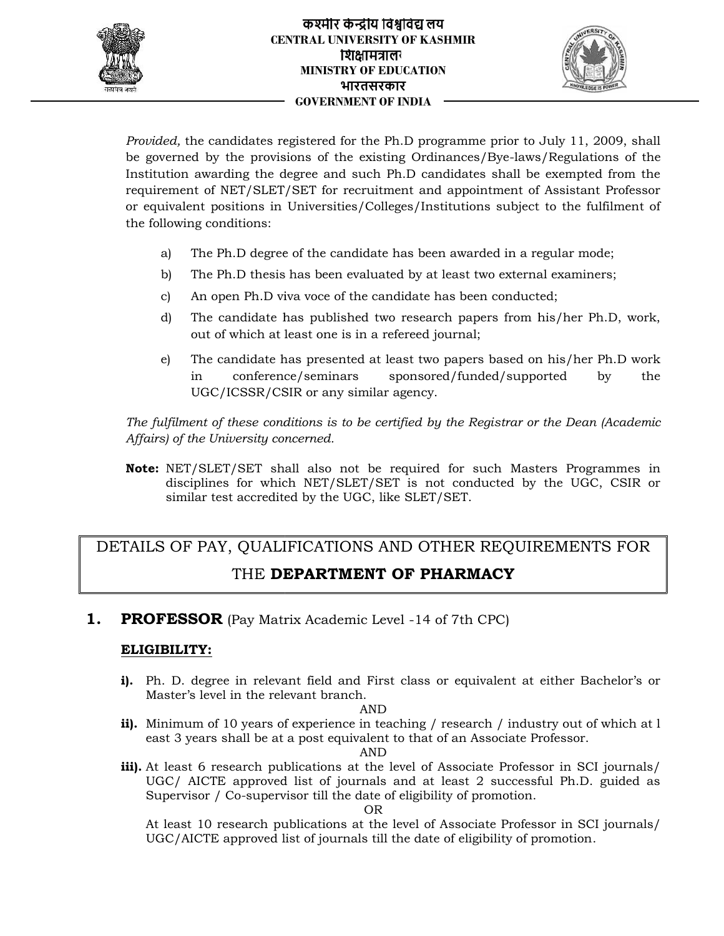



*Provided,* the candidates registered for the Ph.D programme prior to July 11, 2009, shall be governed by the provisions of the existing Ordinances/Bye-laws/Regulations of the Institution awarding the degree and such Ph.D candidates shall be exempted from the Institution awarding the degree and such Ph.D candidates shall be exempted from the<br>requirement of NET/SLET/SET for recruitment and appointment of Assistant Professor or equivalent positions in Universities/Colleges/Institutions subject to the fulfilment of the following conditions: registered for the Ph.D programme prior to July 11, 2009, shall<br>islons of the existing Ordinances/Bye-lawa/Regulations of the<br>degree and such <sup>pa</sup>n.D condidates abil the excepted from the<br>degree and such the H-19 condidate *Provided,* the candidates registered for governed by the provisions of the degree and requirement of NET/SLET/SET for requivalent positions in Universitic the following conditions:<br>
a) The Ph.D degree of the can b) The Ph

- a) The Ph.D degree of the candidate has been awarded in a regular mode;
- b) The Ph.D thesis has been evaluated by at least two external examiners;
- c) An open Ph.D viva voce of the candidate has been conducted;
- d) The candidate has published two research papers from his/her Ph.D, work, out of which at least one is in a refereed journal; by positions in Universities/Colleges/Institutions subject to the fulfilment of<br>onditions:<br>Th.D degree of the candidate has been awarded in a regular mode;<br>Th.D thesis has been evaluated by at least two external examiners;
- e) The candidate has presented at least two papers based on his/her Ph.D work in conference/seminars sponsored/funded/supported by the<br>UGC/ICSSR/CSIR or any similar agency. UGC/ICSSR/CSIR or any similar agency.

*The fulfilment of these conditions is to be certified by the Registrar or the Dean (Academic Affairs) of the University concerned.*

**Note:** NET/SLET/SET shall also not be required for such Masters Programmes in NET/SLET/SET shall also not be required for such Masters Programmes in<br>disciplines for which NET/SLET/SET is not conducted by the UGC, CSIR or similar test accredited by the UGC, like SLET/SET.

# DETAILS OF PAY, QUALIFICATIONS AND OTHER REQUIREMENTS FOR  $\; \; \|$ THE **DEPARTMENT OF PHARMACY DEPARTMENT OF**

**1. PROFESSOR** (Pay Matrix Academic Level -14 of 7th CPC)

## **ELIGIBILITY:**

**i).** Ph. D. degree in relevant field and First class or equivalent at either Bachelor's or Master's level in the relevant branch. D. degree in relev<br>ster's level in the re<br>imum of 10 years

#### AND

**ii).** Minimum of 10 years of experience in teaching / research / industry out of which at least 3 years shall be at a post equivalent to that of an Associate Professor. east 3 years shall be at a post equivalent to that of an Associate Professor.

AND

**iii).** At least 6 research publications at the level of Associate Professor in SCI journals/ UGC/ AICTE approved list of journals and at least 2 successful Ph.D. guided as Supervisor / Co-supervisor till the date of eligibility of promotion. research publications at the level of Associate Professor in SCI journals/<br>C/ AICTE approved list of journals and at least 2 successful Ph.D. guided as<br>pervisor / Co-supervisor till the date of eligibility of promotion.<br>le **iii).** At least 6 res<br>UGC/ AICTE<br>Supervisor / C<br>At least 10 re

OR

At least 10 research publications at the level of Associate Professor in SCI journals/ UGC/AICTE approved list of journals till the date of eligibility of promotion.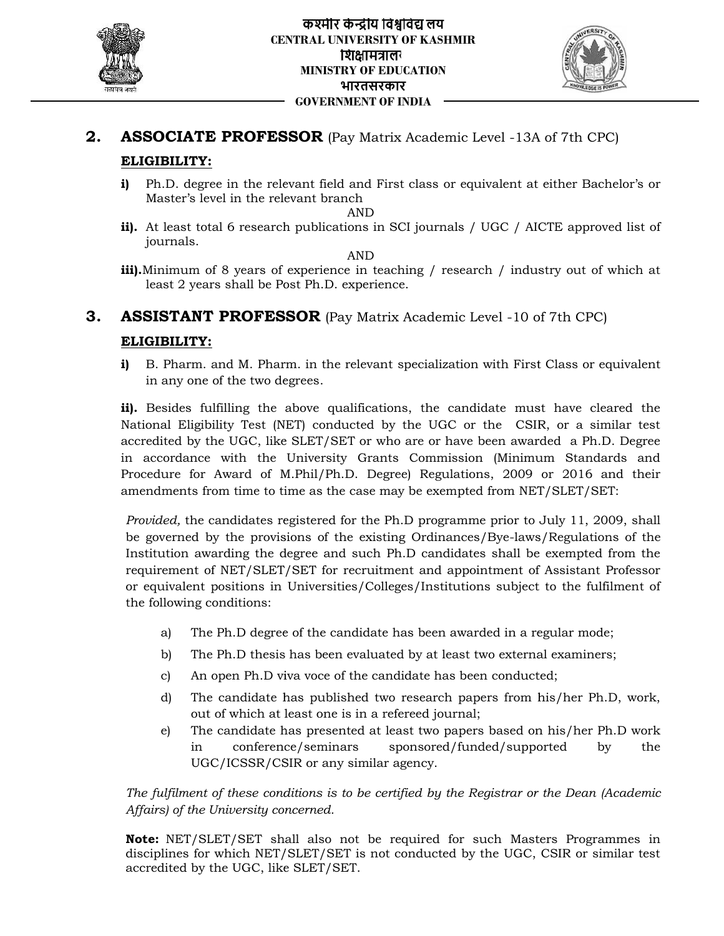



# **2. ASSOCIATE PROFESSOR** (Pay Matrix Academic Level -13A of 7th CPC) **ELIGIBILITY:**

**i)** Ph.D. degree in the relevant field and First class or equivalent at either Bachelor's or Master's level in the relevant branch

#### AND

**ii).** At least total 6 research publications in SCI journals / UGC / AICTE approved list of journals.

AND

**iii).**Minimum of 8 years of experience in teaching / research / industry out of which at least 2 years shall be Post Ph.D. experience.

# **3. ASSISTANT PROFESSOR** (Pay Matrix Academic Level -10 of 7th CPC)

## **ELIGIBILITY:**

**i)** B. Pharm. and M. Pharm. in the relevant specialization with First Class or equivalent in any one of the two degrees.

**ii).** Besides fulfilling the above qualifications, the candidate must have cleared the National Eligibility Test (NET) conducted by the UGC or the CSIR, or a similar test accredited by the UGC, like SLET/SET or who are or have been awarded a Ph.D. Degree in accordance with the University Grants Commission (Minimum Standards and in any one of the two degrees.<br> **ii).** Besides fulfilling the above qualifications, the candidate must have cleared the<br>
National Eligibility Test (NET) conducted by the UGC or the CSIR, or a similar test<br>
accredited by th amendments from time to time as the case may be exempted from NET/SLET/SET: n the relevant field and Frist claas or equivalent at either Bachelor's or in the relevant branch<br>
in the relevant branch<br>
S research publications in SCI journals / UGC / AICITE approved list of<br>
years of experience. in te B. Pharm. and M. Pharm. in the relevant specialization with First Class or equivalent<br>in any one of the two degrees.<br>Besides fulfilling the above qualifications, the candidate must have cleared the<br>onal Eligibility Test (N Ph.D. degree in the rele<br>Master's level in the rele<br>Master's level in the rele<br>At least total 6 research<br>journals.<br>Minimum of 8 years of<br>least 2 years shall be Pc<br>**SISTANT PROFES:**<br>GIBILITY:<br>B. Pharm. and M. Pharm<br>in any o

*Provided,* the candidates registered for the Ph.D programme prior to July 11, 2009, shall be governed by the provisions of the existing Ordinances/Bye-laws/Regulations of the Institution awarding the degree and such Ph.D candidates shall be exempted from the Institution awarding the degree and such Ph.D candidates shall be exempted from the<br>requirement of NET/SLET/SET for recruitment and appointment of Assistant Professor or equivalent positions in Universities/Colleges/Institutions subject to the fulfilment of the following conditions: *Provided,* the candidates registered for the provisions of the Institution awarding the degree and requirement of NET/SLET/SET for r or equivalent positions:<br>a) The Ph.D degree of the can b) The Ph.D degree of the can b)

- a) The Ph.D degree of the candidate has been awarded in a regular mode;
- b) The Ph.D thesis has been evaluated by at least two external examiners;
- c) An open Ph.D viva voce of the candidate has been conducted;
- d) The candidate has published two research papers from his/her Ph.D, work, out of which at least one is in a refereed journal; by positions in Universities/Colleges/Institutions subject to the fulfilment of<br>onditions:<br>Ph.D degree of the candidate has been awarded in a regular mode;<br>Ph.D thesis has been evaluated by at least two external examiners;
- e) The candidate has presented at least two papers based on his/her Ph.D work in conference/seminars sponsored/funded/supported by the<br>UGC/ICSSR/CSIR or any similar agency. UGC/ICSSR/CSIR or any similar agency.

*The fulfilment of these conditions is to be certified by the Registrar or the Dean (Academic these be The fulfilment of these conditions is to b*<br>*Affairs) of the University concerned.* 

**Note:** NET/SLET/SET shall also not be required for such Masters Programmes in **Note:Note:** NET/SLET/SET shall also not be required for such Masters Programmes in<br>disciplines for which NET/SLET/SET is not conducted by the UGC, CSIR or similar test disciplines for which NET/SLET/SET is not<br>accredited by the UGC, like SLET/SET.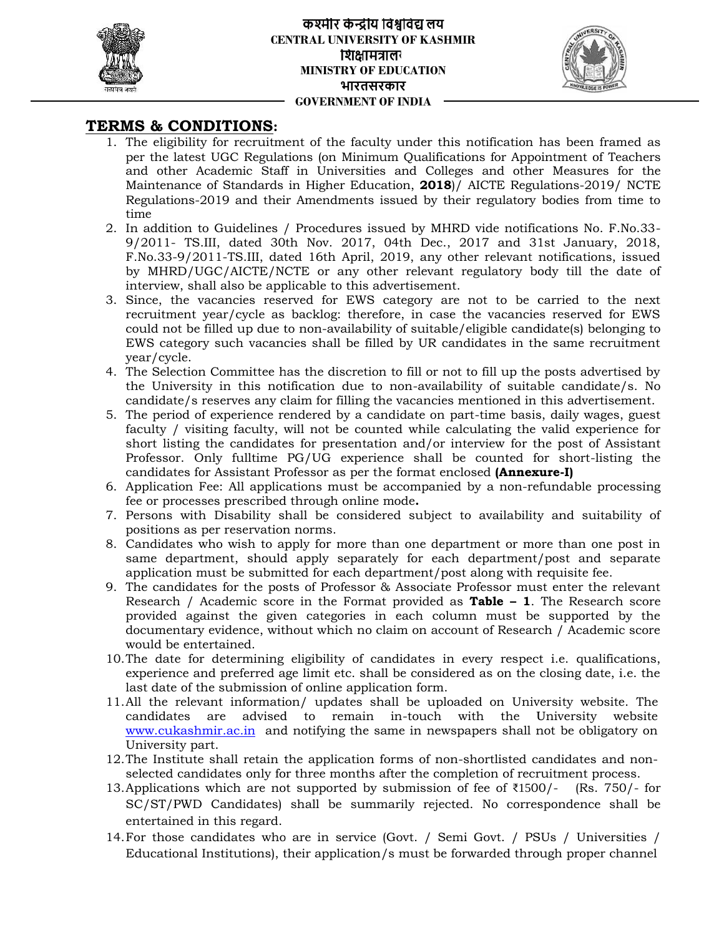



## **TERMS & CONDITIONS:**

- 1. The eligibility for recruitment of the faculty under this notification has been framed as per the latest UGC Regulations (on Minimum Qualifications for Appointment of Teachers and other Academic Staff in Universities and Colleges and other Measures for the Measures for Maintenance of Standards in Higher Education, **2018**)/ AICTE Regulations-2019/ NCTE Regulations-2019 and their Amendments issued by their regulatory bodies from time to time enent of the faceulty under this notification has been framed as<br>
from the minimum Qualifications for Appointment of Teacheres<br>
in This Universities and Colleges and other Meantace for the<br>
1911 in Universities and College 1. The eligibility for recruitment of the factuly under this notificat that the factor same of the factoric Mathimian Qualifications for Antiniteration of Miniterials and Colleges and Colleges and colleges and colleges an
- 2. In addition to Guidelines / Procedures issued by MHRD vide notifications No. F.No.33- 9/2011- TS.III, dated 30th Nov. 2017, 04th Dec., 2017 and 31st January, 2018, F.No.33-9/2011-TS.III, dated 16th April, 2019, any other relevant notifications, issued by MHRD/UGC/AICTE/NCTE or any other relevant regulatory body till the date of interview, shall also be applicable to this advertisement. lition to Guidelines / Procedures issued by MHRD vide notifications No. F.No.33-<br>1- TS.III, dated 30th Nov. 2017, 04th Dec., 2017 and 31st January, 2018,<br>33-9/2011-TS.III, dated 16th April, 2019, any other relevant notific
- 3. Since, the vacancies reserved for EWS category are not to be carried to the next recruitment year/cycle as backlog: therefore, in case the vacancies reserved for EWS could not be filled up due to non-availability of suitable/eligible candidate(s) belonging to EWS category such vacancies shall be filled by UR candidates in the same recruitment year/cycle.
- 4. The Selection Committee has the discretion to fill or not to fill up the posts advertised by the University in this notification due to non-availability of suitable candidate/s. No candidate/s reserves any claim for filling the vacancies mentioned in this advertisement.
- 5. The period of experience rendered by a candidate on part-time basis, daily wages, guest faculty / visiting faculty, will not be counted while calculating the valid experience for short listing the candidates for presentation and/or interview for the post of Assistant Professor. Only fulltime PG/UG experience shall be counted for short-listing the candidates for Assistant Professor as per the format enclosed **(Annexure-I)** the University in this notification due to non-availability of suitable candidate/s. No candidate/s reserves any claim for filling the vacancies mentioned in this advertisement.<br>The period of experience rendered by a candi
- candidates for Assistant Professor as per the format enclosed **(Annexure-I)**<br>6. Application Fee: All applications must be accompanied by a non-refundable processing fee or processes prescribed through online mode**.**
- 7. Persons with Disability shall be considered subject to availability and suitability of positions as per reservation norms.
- 8. Candidates who wish to apply for more than one department or more than one post in same department, should apply separately for each department/post and separate application must be submitted for each department/post along with requisite fee. with Disability shall be considered subject to availability and suitability of<br>as per reservation norms.<br>So who wish to apply for more than one department or more than one post in<br>partment, should apply separately for each
- 9. The candidates for the posts of Professor & Associate Professor must enter the relevant Research / Academic score in the Format provided as **Table – 1**. The Research score The score provided against the given categories in each column must be supported by the documentary evidence, without which no claim on account of Research / Academic score would be entertained.
- 10.The date for determining eligibility of candidates in every respect i.e. qualifications, experience and preferred age limit etc. shall be considered as on the closing date, i.e. the last date of the submission of online application form.
- 11.All the relevant information/ updates shall be uploaded on University website. The candidates are advised to remain in-touch with the University website www.cukashmir.ac.in and notifying the same in newspapers shall not be obligatory on University part. against the given categories in each column must be supported by the<br>ary evidence, without which no claim on account of Research / Academic score<br>entertained.<br>for determining eligibility of candidates in every respect i.e.
- 12.The Institute shall retain the application forms of non-shortlisted candidates and non selected candidates only for three months after the completion of recruitment process.
- 13.Applications which are not supported by submission of fee of ₹1500/- (Rs. 750/- for SC/ST/PWD Candidates) shall be summarily rejected. No correspondence shall be entertained in this regard. shall retain the application forms of non-shortlisted candidates and non-<br>dates only for three months after the completion of recruitment process.<br>which are not supported by submission of fee of  $\text{\&}1500/-$  (Rs. 750/- fo
- 14.For those candidates who are in service (Govt. / Semi Govt. / PSUs / Universities / Educational Institutions), their application/s must be forwarded through proper channel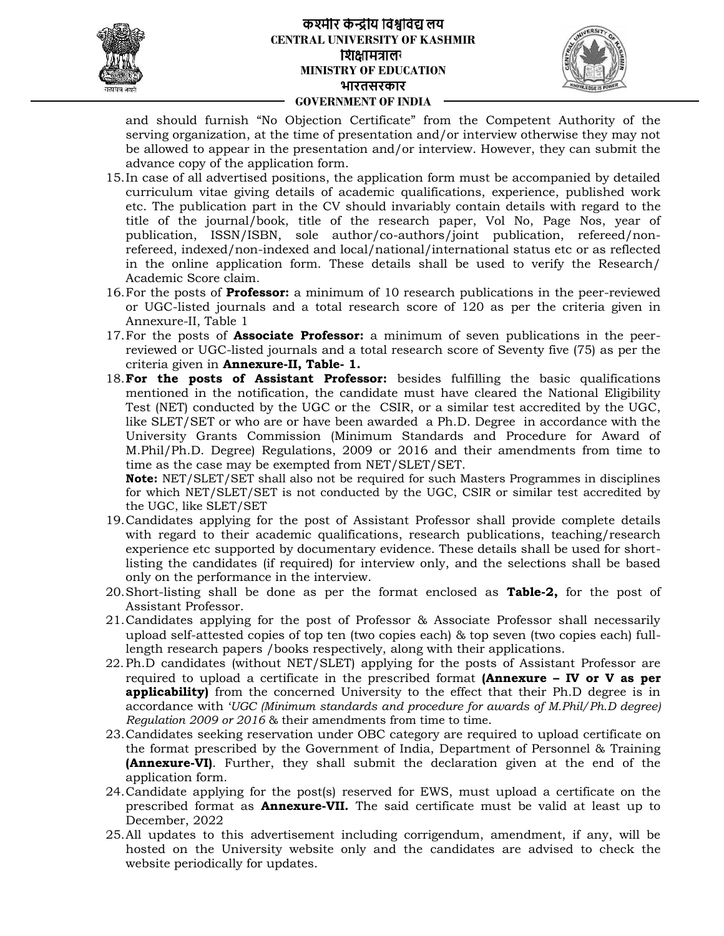

### **लय लयCENTRAL UNIVERSITY OF KASHMIR** शिक्षामत्रालर **MINISTRY OF EDUCATION भारतसरकार GOVERNMENT OF INDIA**



and should furnish "No Objection Certificate" from the Competent Authority of the serving organization, at the time of presentation and/or interview otherwise they may not be allowed to appear in the presentation and/or interview. However, they can submit the advance copy of the application form.

- 15.In case of all advertised positions, the application form must be accompanied by detailed curriculum vitae giving details of academic qualifications, experience, published work etc. The publication part in the CV should invariably contain details with regard to the title of the journal/book, title of the research paper, Vol No, Page Nos, year of publication, ISSN/ISBN, sole author/co-authors/joint publication, refereed/non refereed, indexed/non-indexed and local/national/international status etc or as reflected in the online application form. These details shall be used to verify the Research/ Academic Score claim. is three of presentation and/or interview otherwise they may not<br>eigner in the prosecutation and/or interview. However, they can submit the<br>asticals of academic qualifications, experience, published work<br>in the CV should i be allowed to appear in the presentation and/or interview. However, they can submit the<br>advance copy of the application form.<br>In case of all advertised positions, the application form must be accompanied by detailed<br>curric Vol No, Page Nos, year of<br>publication, refereed/non-<br>onal status etc or as reflected<br>sed to verify the Research/ and should furnion "No Objection Certificative" from the Competent And and should furnion serving organization, at the time of presentation and/or interview otherwise<br>15. The altowed to altowed the presentation and/or int
- 16. For the posts of **Professor:** a minimum of 10 research publications in the peer-reviewed or UGC-listed journals and a total research score of 120 as per the criteria given in Annexure-II, Table 1
- 17.For the posts of **Associate Professor:** a minimum of seven publications in the peer reviewed or UGC-listed journals and a total research score of Seventy five (75) as per the criteria given in **Annexure-II, Table- 1.** 17. For the posts of **Associate Professor:** a minimum of seven publications in the peer-<br>reviewed or UGC-listed journals and a total research score of Seventy five (75) as per the<br>criteria given in **Annexure-II, Table- 1.**
- mentioned in the notification, the candidate must have cleared the National Eligibility Test (NET) conducted by the UGC or the CSIR, or a similar test accredited by the UGC, like SLET/SET or who are or have been awarded a Ph.D. Degree in accordance with the University Grants Commission (Minimum Standards and Procedure for Award of M.Phil/Ph.D. Degree) Regulations, 2009 or 2016 and their amendments from time to<br>time as the case may be exempted from NET/SLET/SET. time as the case may be exempted from NET/SLET/SET. ate must have cleared the National Eligibility<br>CSIR, or a similar test accredited by the UGC,<br>varded a Ph.D. Degree in accordance with the<br>m Standards and Procedure for Award of

**Note:** NET/SLET/SET shall also not be required for such Masters Programmes in disciplines **Note:** NET/SLET/SET shall also not be required for such Masters Programmes in disciplines<br>for which NET/SLET/SET is not conducted by the UGC, CSIR or similar test accredited by the UGC, like SLET/SET

- 19.Candidates applying for the post of Assistant Professor shall provide complete details with regard to their academic qualifications, research publications, teaching/research experience etc supported by documentary evidence. These details shall be used for short-Candidates applying for the post of Assistant Professor shall provide complete details<br>with regard to their academic qualifications, research publications, teaching/research<br>experience etc supported by documentary evidence only on the performance in the interview.
- 20.Short-listing shall be done as per the format enclosed as **Table-2,** for the post of Assistant Professor.
- 21.Candidates applying for the post of Professor & Associate Professor shall necessarily upload self-attested copies of top ten (two copies each) & top seven (two copies each) fulllength research papers /books respectively, along with their applications. the performance in the interview.<br>sting shall be done as per the format enclosed as **Table-2**, for the post of<br>nt Professor.<br>ates applying for the post of Professor & Associate Professor shall necessarily<br>self-attested cop 21. Candidates applying for the post of Prof<br>upload self-attested copies of top ten (two<br>length research papers /books respectively
- 22. Ph.D candidates (without NET/SLET) applying for the posts of Assistant Professor are<br>required to upload a certificate in the prescribed format **(Annexure IV or V as per** required to upload a certificate in the prescribed format **(Annexure – IV or V as per or applicability)** from the concerned University to the effect that their Ph.D degree is in accordance with '*UGC (Minimum standards and procedure for awards of M.Phil/Ph.D degree) awards degree)*accordance with 'UGC (Minimum standards and procedure for award<br>Regulation 2009 or 2016 & their amendments from time to time.
- 23.Candidates seeking reservation under OBC category are required to upload certificate on 23. Candidates seeking reservation under OBC category are required to upload certificate on the format prescribed by the Government of India, Department of Personnel & Training **(Annexure-VI)**. Further, they shall submit the declaration given at the end of the **(Annexure-VI)**application form. application form. 23. Candidates seeking reservation under OBC category are required to upload certificate on the format prescribed by the Government of India, Department of Personnel & Training (**Annexure-VI**). Further, they shall submit t
- 24.Candidate applying for the post(s) reserved for EWS, must upload a certificate on the December, 2022
- 25.All updates to this advertisement including corrigendum, amendment, if any, will be hosted on the University website only and the candidates are advised to check the website periodically for updates. December, 2022<br>25.All updates to this advertisement including corrigendum, amendment, if any, will<br>hosted on the University website only and the candidates are advised to check<br>website periodically for updates.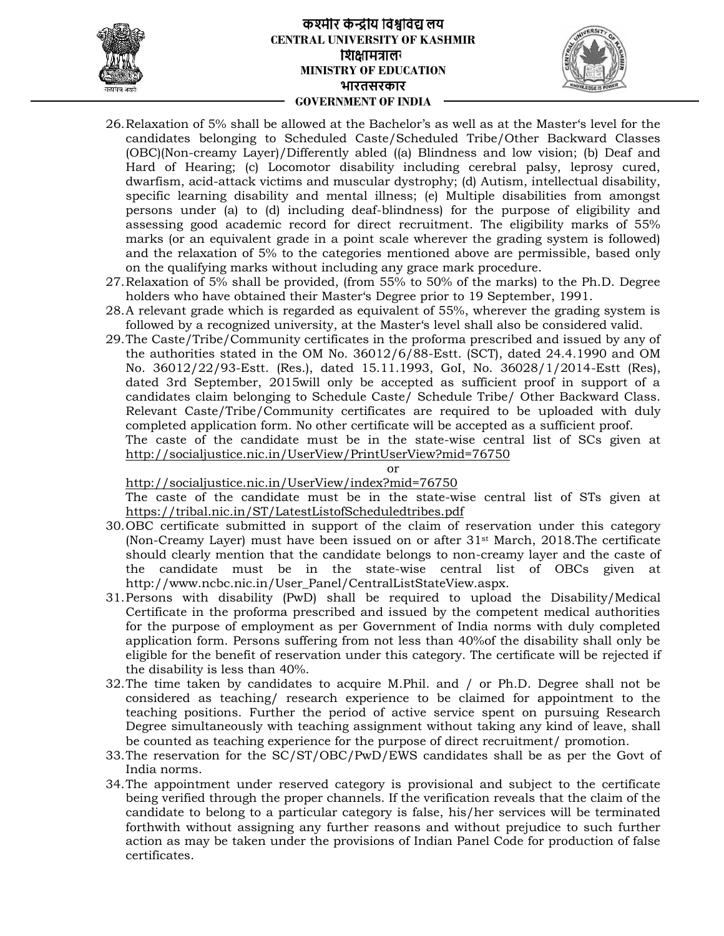

## **लय लयCENTRAL UNIVERSITY OF KASHMIR** शिक्षामंत्रालर **MINISTRY OF EDUCATION भारतसरकार GOVERNMENT OF INDIA**



- 26.Relaxation of 5% shall be allowed at the Bachelor's as well as at the Master's level for the candidates belonging to Scheduled Caste/Scheduled Tribe/Other Backward Classes (OBC)(Non-creamy Layer)/Differently abled ((a) Blindness and low vision; (b) Deaf and Hard of Hearing; (c) Locomotor disability including cerebral palsy, leprosy cured, dwarfism, acid-attack victims and muscular dystrophy; (d) Autism, intellectual disability, specific learning disability and mental illness; (e) Multiple disabilities from amongst persons under (a) to (d) including deaf-blindness) for the purpose of eligibility and assessing good academic record for direct recruitment. The eligibility marks of 55% marks (or an equivalent grade in a point scale wherever the grading system is followed) and the relaxation of 5% to the categories mentioned above are permissible, based only on the qualifying marks without including any grace mark procedure. allowed the Bacheloirs as well as at the Massier's level for the matter of the Massier's comotor disability including cerebral palay. (Figure and Concordor disability). Differently abled ((a) Binduclas and the scheduled cl including deaf-blindness) for the purpose of eligibility and<br>d academic record for direct recruitment. The eligibility marks of 55%<br>equivalent grade in a point scale wherever the grading system is followed)<br>ation of 5% to 26. Relaxation of 5% shall be allowed at the Bacheloir as well as a true Man in the continue contribution creamy Layer) (DCP(Non creamy Layer) (Dependent of the star and a muscular particle (iii) Elimintens and low vissio
- 27.Relaxation of 5% shall be provided, (from 55% to 50% of the marks) to the Ph.D. Degree holders who have obtained their Master's Degree prior to 19 September, 1991.
- 28.A relevant grade which is regarded as equivalent of 55%, wherever the grading system is followed by a recognized university, at the Master's level shall also be considered valid. Relaxation of 5% shall be provided, (from 55% to 50% of the marks) to the Ph.D. Degree<br>holders who have obtained their Master's Degree prior to 19 September, 1991.<br>A relevant grade which is regarded as equivalent of 55%, w
- 29.The Caste/Tribe/Community certificates in the proforma prescribed and issued by any of the authorities stated in the OM No. 36012/6/88-Estt. (SCT), dated 24.4.1990 and OM No. 36012/22/93-Estt. (Res.), dated 15.11.1993, GoI, No. 36028/1/2014-Estt (Res), dated 3rd September, 2015will only be accepted as sufficient proof in support of a candidates claim belonging to Schedule Caste/ Schedule Tribe/ Other Backward Class. Relevant Caste/Tribe/Community certificates are required to be uploaded with duly completed application form. No other certificate will be accepted as a sufficient proof.

The caste of the candidate must be in the state-wise central list of SCs given at http://socialjustice.nic.in/UserView/PrintUserView?mid=76750

## or

#### http://socialjustice.nic.in/UserView/index?mid=76750

The caste of the candidate must be in the state-wise central list of STs given at https://tribal.nic.in/ST/LatestListofScheduledtribes.pdf

- 30.OBC certificate submitted in support of the claim of reservation under this category (Non-Creamy Layer) must have been issued on or after 31st March, 2018.The certificate should clearly mention that the candidate belongs to non-creamy layer and the caste of the candidate must be in the state-wise central list of OBCs given at http://www.ncbc.nic.in/User\_Panel/CentralListStateView.aspx.
- 31.Persons with disability (PwD) shall be required to upload the Disability/Medical Certificate in the proforma prescribed and issued by the competent medical authorities for the purpose of employment as per Government of India norms with duly completed application form. Persons suffering from not less than 40%of the disability shall only be eligible for the benefit of reservation under this category. The certificate will be rejected if the disability is less than 40%. dated 3rd September, 2015will only be accepted as sufficient proof in support of a<br>deardidates claim belonging to Schedule Caste/ Schedule Tribe/ Other Backward Class.<br>Relevant Caste/Schemmuity certificates are required t
- 32.The time taken by candidates to acquire M.Phil. and / or Ph.D. Degree shall not be considered as teaching/ research experience to be claimed for appointment to the teaching positions. Further the period of active service spent on pursuing Research Degree simultaneously with teaching assignment without taking any kind of leave, shall be counted as teaching experience for the purpose of direct recruitment/ promotion.
- 33.The reservation for the SC/ST/OBC/PwD/EWS candidates shall be as per the Govt of India norms.
- 34.The appointment under reserved category is provisional and subject to the certificate being verified through the proper channels. If the verification reveals that the claim of the candidate to belong to a particular category is false, his/her services will be terminated forthwith without assigning any further reasons and without prejudice to such further action as may be taken under the provisions of Indian Panel Code for production of false Panel for certificates.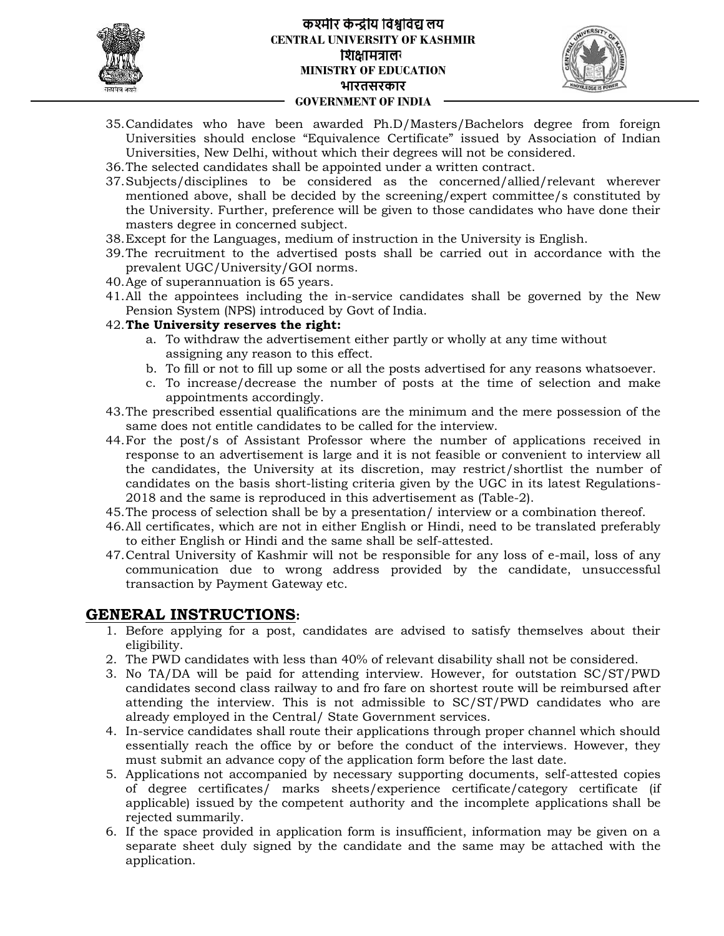

## **लय लयCENTRAL UNIVERSITY OF KASHMIR** शिक्षामंत्रालर **MINISTRY OF EDUCATION भारतसरकार GOVERNMENT OF INDIA**



- 35.Candidates who have been awarded Ph.D/Masters/Bachelors degree from foreign Universities should enclose "Equivalence Certificate" issued by Association of Indian Universities, New Delhi, without which their degrees will not be considered.
- 36.The selected candidates shall be appointed under a written contract.
- 37.Subjects/disciplines to be considered as the concerned/allied/relevant wherever mentioned above, shall be decided by the screening/expert committee/s constituted by the University. Further, preference will be given to those candidates who have done their masters degree in concerned subject. by the screening/expert committee/s constituted by<br>will be given to those candidates who have done their<br>t.<br>of instruction in the University is English.
- 38.Except for the Languages, medium of instruction in the University is English.
- 39.The recruitment to the advertised posts shall be carried out in accordance with the accordance prevalent UGC/University/GOI norms.
- 40.Age of superannuation is 65 years.
- 41.All the appointees including the in-service candidates shall be governed by the New shall Pension System (NPS) introduced by Govt of India.

## 42.**The University reserves the right:**

- a. To withdraw the advertisement either partly or wholly at any time without assigning any reason to this effect.
- b. To fill or not to fill up some or all the posts advertised for any reasons whatsoever.
- c. To increase/decrease the number of posts at the time of selection and make appointments accordingly.
- 43.The prescribed essential qualifications are the minimum and the mere possession of the same does not entitle candidates to be called for the interview.
- 44.For the post/s of Assistant Professor where the number of applications received in response to an advertisement is large and it is not feasible or convenient to interview all the candidates, the University at its discretion, may restrict/shortlist the number of candidates on the basis short-listing criteria given by the UGC in its latest Regulations- 2018 and the same is reproduced in this advertisement as (Table-2). candidates on the basis short-listing criteria given by the UGC in its latest Regulations-<br>2018 and the same is reproduced in this advertisement as (Table-2).<br>45.The process of selection shall be by a presentation/ intervi who have been awarded Pha Pha Massiers (Bachcora degree from foreign degree from enclose New Defini which their degrees will not be considered.<br>
However, bein being the sinus that there degrees will not be considered.<br>
New 42. **The University reserves the right:**<br>
a. To withdraw the advertisement either partly or wholly at any time without<br>
assigning any reason to this effect.<br>
b. To fill or not to fill up some or all the posts advertised f 35. Candidates who have been evented FBL/Matters/Bachtons degree from  $\alpha$ . Universities should endobe "Equivalence Certificate" assued by Association of the method of the considered considered as the consented in the con
- 
- 46.All certificates, which are not in either English or Hindi, need to be translated preferably<br>to either English or Hindi and the same shall be self-attested. to either English or Hindi and the same shall be self-attested.
- 47.Central University of Kashmir will not be responsible for any loss of e-mail, loss of any Central University of Kashmir will not be responsible for any loss of e-mail, loss of any<br>communication due to wrong address provided by the candidate, unsuccessful transaction by Payment Gateway etc.

## **GENERAL INSTRUCTIONS:**

- 1. Before applying for a post, candidates are advised to satisfy themselves about their eligibility.
- 2. The PWD candidates with less than 40% of relevant disability shall not be considered.
- 3. No TA/DA will be paid for attending interview. However, for outstation SC/ST/PWD candidates second class railway to and fro fare on shortest route will be reimbursed after attending the interview. This is not admissible to SC/ST/PWD candidates who are already employed in the Central/ State Government services. ignity of a post, candidates are advised to satisfy themselves about their undidates with less than 40% of relevant disability shall not be considered.<br>will be paid for attending interview. However, for outstation SC/ST/PW
- 4. In-service candidates shall route their applications through proper channel which should essentially reach the office by or before the conduct of the interviews. However, they must submit an advance copy of the application form before the last date.
- 5. Applications not accompanied by necessary supporting documents, self-attested copies of degree certificates/ marks sheets/experience certificate/category certificate (if of degree certificates/ marks sheets/experience certificate/category certificate (if<br>applicable) issued by the competent authority and the incomplete applications shall be rejected summarily.
- 6. If the space provided in application form is insufficient, information may be given on a separate sheet duly signed by the candidate and the same may be attached with the application. summarily.<br>ace provided in application form is insufficient, information may be given on a<br>sheet duly signed by the candidate and the same may be attached with the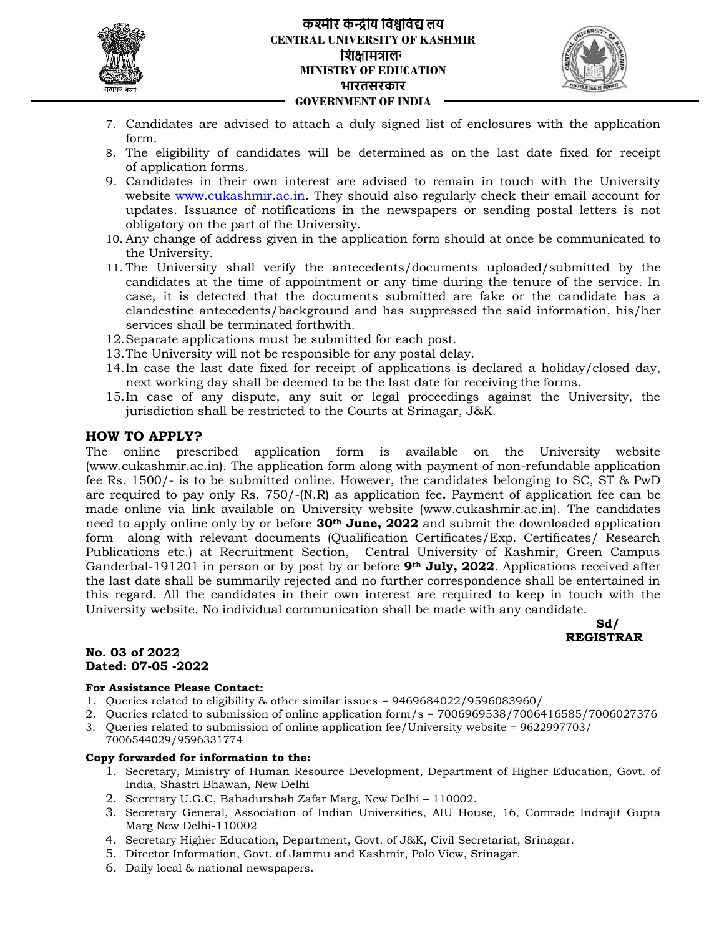

### **लय लयCENTRAL UNIVERSITY OF KASHMIR** शिक्षामत्रालर **MINISTRY OF EDUCATION भारतसरकार GOVERNMENT OF INDIA**



- 7. Candidates are advised to attach a duly signed list of enclosures with the application form.
- 8. The eligibility of candidates will be determined as on the last date fixed for receipt of application forms.
- 9. Candidates in their own interest are advised to remain in touch with the University website www.cukashmir.ac.in. They should also regularly check their email account for updates. Issuance of notifications in the newspapers or sending postal letters is not obligatory on the part of the University.
- obligatory on the part of the University.<br>10. Any change of address given in the application form should at once be communicated to the University.
- 11. The University shall verify the antecedents/documents uploaded/submitted by the candidates at the time of appointment or any time during the tenure of the service. In case, it is detected that the documents submitted are fake or the candidate has a clandestine antecedents/background and has suppressed the said information, his/her services shall be terminated forthwith. In time of appointment or any time during the tenure of the service. In<br>the definition and has suppressed the said information, his/her<br>erminated forthwith.<br>In non-smust be submitted for each post.<br>In not be responsible fo
- 12.Separate applications must be submitted for each post.
- 13.The University will not be responsible for any postal delay.
- 14.In case the last date fixed for receipt of applications is declared a holiday/closed day, next working day shall be deemed to be the last date for receiving the forms.
- 15.In case of any dispute, any suit or legal proceedings against the University, the jurisdiction shall be restricted to the Courts at Srinagar, J&K.

## **HOW TO APPLY?**

The online prescribed application form is available on the University website (www.cukashmir.ac.in). The application form along with payment of non-refundable application fee Rs. 1500/- is to be submitted online. However, the candidates belonging to SC, ST & PwD are required to pay only Rs. 750/-(N.R) as application fee**.** Payment of application fee can be made online via link available on University website (www.cukashmir.ac.in). The candidates need to apply online only by or before **30th June, 2022** and submit the downloaded application need to apply online only by or before **30<sup>th</sup> June, 2022** and submit the downloaded application<br>form along with relevant documents (Qualification Certificates/Exp. Certificates/ Research Publications etc.) at Recruitment Section, Central University of Kashmir, Green Campus Ganderbal-191201 in person or by post by or before **9th July, 2022**. Applications received after the last date shall be summarily rejected and no further correspondence shall be entertained in this regard. All the candidates in their own interest are required to keep in touch with the University website. No individual communication shall be made with any candidate. to attach a duly signed list of enclosures with the application<br>
Interest are the diverse are developed to remain in totach with the University<br>
interest are developed to remain in totach with the University<br>
differentiati Central University of Kashmir, Green Campus<br>before **9th July, 2022**. Applications received after<br>no further correspondence shall be entertained in 7. Candidates are advised to attach a duly signed list of enclosure<br>
8. Ten cliptiblity of cardiotates will be determined as on the last<br>
16. The cliptical formation and the determined as on the last<br>
9. Cardidates in the



#### **No. 03 of 2022 No. 03Dated: 07-05 -2022**

#### **For Assistance Please Contact:**

- 1. Queries related to eligibility & other similar issues = 9469684022/9596083960/
- 2. Queries related to submission of online application form/s = 7006969538/7006416585/7006027376
- 2. Queries related to submission of online application form/s = 7006969538/7006416585/70060273<br>3. Queries related to submission of online application fee/University website = 9622997703/
- 7006544029/9596331774

#### **Copy forwarded for information to the: to**

- 1. Secretary, Ministry of Human Resource Development, Department of Higher Education, Govt. of<br>India, Shastri Bhawan, New Delhi<br>2. Secretary U.G.C, Bahadurshah Zafar Marg, New Delhi 110002. India, Shastri Bhawan, New Delhi
- 2. Secretary U.G.C, Bahadurshah Zafar Marg, New Delhi 110002.
- 3. Secretary General, Association of Indian Universities, AIU House, 16, Comrade Indrajit Gupta Marg New Delhi-110002 Association of Indian Universities, AIU House, 16, Comrade<br>1002<br>ucation, Department, Govt. of J&K, Civil Secretariat, Srinagar.<br>1, Govt. of Jammu and Kashmir, Polo View, Srinagar.<br>al newspapers.
- 4. Secretary Higher Education, Department, Govt. of J&K, Civil Secretariat, Srinagar.
- 5. Director Information, Govt. of Jammu and Kashmir, Polo View, Srinagar.
- 6. Daily local & national newspapers.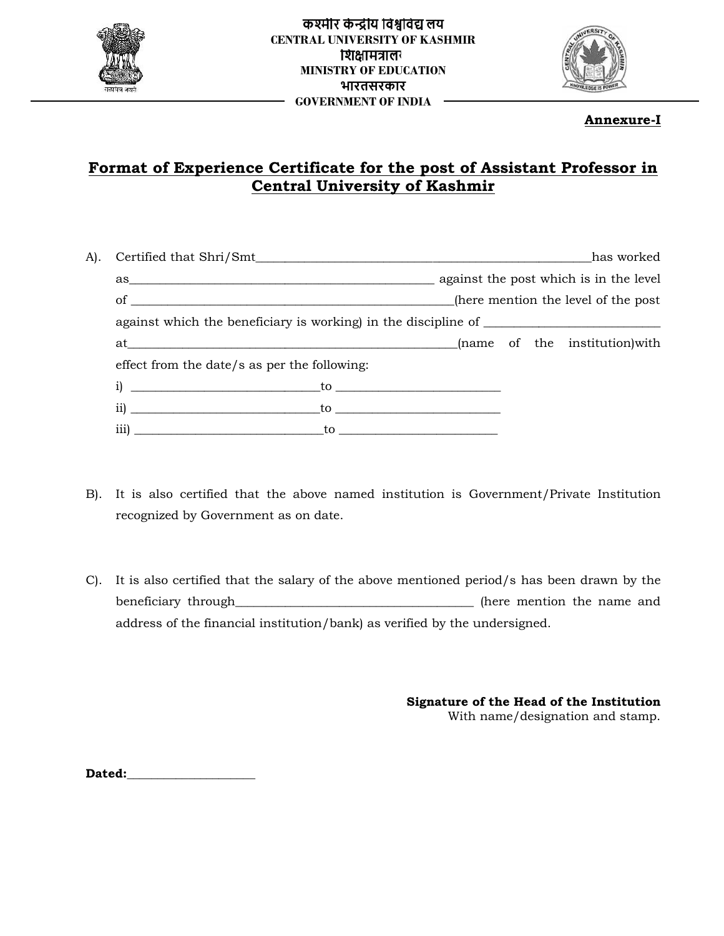



**Annexure-I**

# **Format of Experience Certificate for the post of Assistant Professor in Central University of Kashmir Kashmir**

|                                      | at <u>manner and manner and manner and manner and manner and manner and manner and manner and manner and manner and manner and manner and manner and manner and manner and manner and manner and manner and manner and manner an</u><br>effect from the date/s as per the following:                                                                                                                           |                                                                              |
|--------------------------------------|----------------------------------------------------------------------------------------------------------------------------------------------------------------------------------------------------------------------------------------------------------------------------------------------------------------------------------------------------------------------------------------------------------------|------------------------------------------------------------------------------|
|                                      |                                                                                                                                                                                                                                                                                                                                                                                                                |                                                                              |
|                                      |                                                                                                                                                                                                                                                                                                                                                                                                                |                                                                              |
|                                      |                                                                                                                                                                                                                                                                                                                                                                                                                |                                                                              |
| recognized by Government as on date. | $\frac{1}{1}$ $\frac{1}{1}$ $\frac{1}{1}$ $\frac{1}{1}$ $\frac{1}{1}$ $\frac{1}{1}$ $\frac{1}{1}$ $\frac{1}{1}$ $\frac{1}{1}$ $\frac{1}{1}$ $\frac{1}{1}$ $\frac{1}{1}$ $\frac{1}{1}$ $\frac{1}{1}$ $\frac{1}{1}$ $\frac{1}{1}$ $\frac{1}{1}$ $\frac{1}{1}$ $\frac{1}{1}$ $\frac{1}{1}$ $\frac{1}{1}$ $\frac{1}{1}$<br>It is also certified that the above named institution is Government/Private Institution |                                                                              |
|                                      | It is also certified that the salary of the above mentioned period/s has been drawn by the<br>address of the financial institution/bank) as verified by the undersigned.                                                                                                                                                                                                                                       |                                                                              |
|                                      |                                                                                                                                                                                                                                                                                                                                                                                                                | Signature of the Head of the Institution<br>With name/designation and stamp. |
| <b>Dated:</b>                        |                                                                                                                                                                                                                                                                                                                                                                                                                |                                                                              |
|                                      |                                                                                                                                                                                                                                                                                                                                                                                                                |                                                                              |

- B). It is also certified that the above named institution is Government/Private Institution recognized by Government as on date. \_\_\_\_\_\_\_\_\_\_\_\_\_\_\_\_\_\_\_\_\_\_\_\_\_\_\_institution by that above period/s
- C). It is also certified that the salary of the above mentioned period/s has been drawn by the beneficiary through\_\_\_\_\_\_\_\_\_\_\_\_\_\_\_\_\_\_\_\_\_\_\_\_\_\_\_\_\_\_\_\_\_\_\_\_\_\_\_ (here mention the name and address of the financial institution/bank) as verified by the undersigned.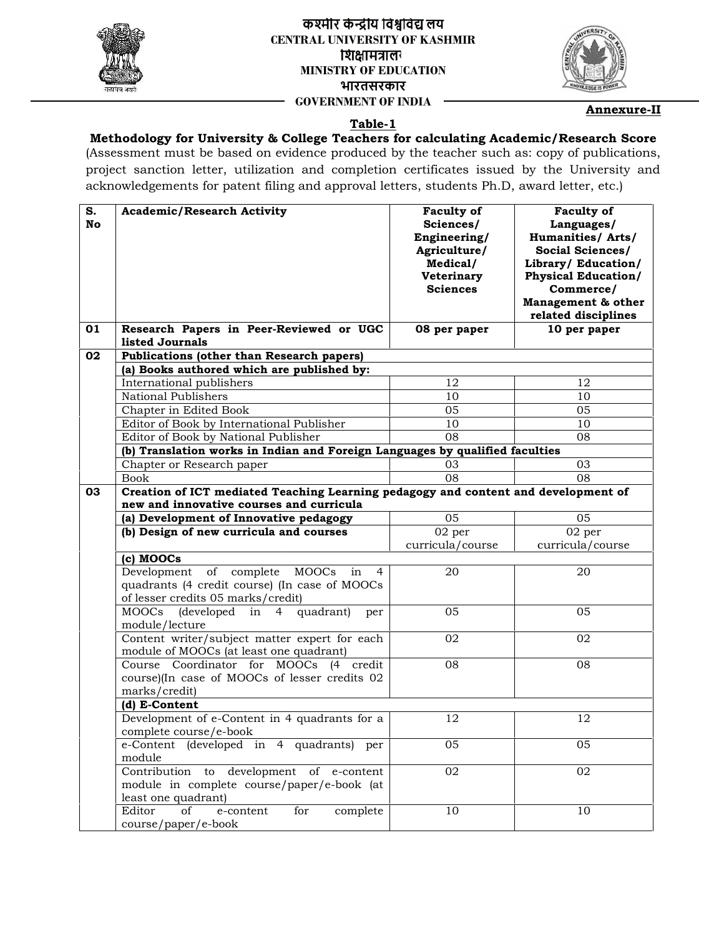

## **लय लयCENTRAL UNIVERSITY OF KASHMIR** शिक्षामंत्रालर **MINISTRY OF EDUCATION भारतसरकार GOVERNMENT OF INDIA**



**Annexure-II**

## **Table-1**

## **Methodology for University & College Teachers for calculating Academic/Research Score**

| S.<br>No | <b>Academic/Research Activity</b>                                                                                                     | <b>Faculty of</b><br>Sciences/<br>Engineering/<br>Agriculture/<br>Medical/<br>Veterinary<br><b>Sciences</b> | <b>Faculty of</b><br>Languages/<br><b>Humanities/Arts/</b><br>Social Sciences/<br>Library/ Education/<br><b>Physical Education/</b><br>Commerce/<br>Management & other<br>related disciplines |
|----------|---------------------------------------------------------------------------------------------------------------------------------------|-------------------------------------------------------------------------------------------------------------|-----------------------------------------------------------------------------------------------------------------------------------------------------------------------------------------------|
| 01       | Research Papers in Peer-Reviewed or UGC<br>listed Journals                                                                            | 08 per paper                                                                                                | 10 per paper                                                                                                                                                                                  |
| 02       | Publications (other than Research papers)                                                                                             |                                                                                                             |                                                                                                                                                                                               |
|          | (a) Books authored which are published by:                                                                                            |                                                                                                             |                                                                                                                                                                                               |
|          | International publishers                                                                                                              | 12                                                                                                          | 12                                                                                                                                                                                            |
|          | National Publishers                                                                                                                   | 10                                                                                                          | 10                                                                                                                                                                                            |
|          | Chapter in Edited Book                                                                                                                | 05                                                                                                          | 05                                                                                                                                                                                            |
|          | Editor of Book by International Publisher                                                                                             | 10                                                                                                          | 10                                                                                                                                                                                            |
|          | Editor of Book by National Publisher                                                                                                  | 08                                                                                                          | 08                                                                                                                                                                                            |
|          | (b) Translation works in Indian and Foreign Languages by qualified faculties                                                          |                                                                                                             |                                                                                                                                                                                               |
|          | Chapter or Research paper                                                                                                             | 03                                                                                                          | 03                                                                                                                                                                                            |
|          | <b>Book</b>                                                                                                                           | 08                                                                                                          | 08                                                                                                                                                                                            |
|          | Creation of ICT mediated Teaching Learning pedagogy and content and development of                                                    |                                                                                                             |                                                                                                                                                                                               |
|          | new and innovative courses and curricula                                                                                              |                                                                                                             |                                                                                                                                                                                               |
|          | (a) Development of Innovative pedagogy                                                                                                | 05                                                                                                          | 05                                                                                                                                                                                            |
|          | (b) Design of new curricula and courses                                                                                               | 02 per                                                                                                      | 02 per                                                                                                                                                                                        |
|          |                                                                                                                                       | curricula/course                                                                                            | curricula/course                                                                                                                                                                              |
|          | (c) MOOCs                                                                                                                             |                                                                                                             |                                                                                                                                                                                               |
|          | of complete<br>MOOCs<br>Development<br>in<br>4<br>quadrants (4 credit course) (In case of MOOCs<br>of lesser credits 05 marks/credit) | 20                                                                                                          | 20                                                                                                                                                                                            |
|          | MOOCs<br>(developed<br>quadrant)<br>in<br>4<br>per<br>module/lecture                                                                  | 05                                                                                                          | 05                                                                                                                                                                                            |
|          | Content writer/subject matter expert for each<br>module of MOOCs (at least one quadrant)                                              | 02                                                                                                          | 02                                                                                                                                                                                            |
|          | Course Coordinator for MOOCs (4 credit<br>course)(In case of MOOCs of lesser credits 02<br>marks/credit)                              | 08                                                                                                          | 08                                                                                                                                                                                            |
|          | (d) E-Content                                                                                                                         |                                                                                                             |                                                                                                                                                                                               |
|          | Development of e-Content in 4 quadrants for a<br>complete course/e-book                                                               | 12                                                                                                          | 12                                                                                                                                                                                            |
|          | e-Content (developed in 4 quadrants) per<br>module                                                                                    | 05                                                                                                          | 05                                                                                                                                                                                            |
|          | Contribution to development of e-content<br>module in complete course/paper/e-book (at<br>least one quadrant)                         | 02                                                                                                          | 02                                                                                                                                                                                            |
|          | Editor<br>of<br>e-content<br>for<br>complete<br>course/paper/e-book                                                                   | 10                                                                                                          | 10                                                                                                                                                                                            |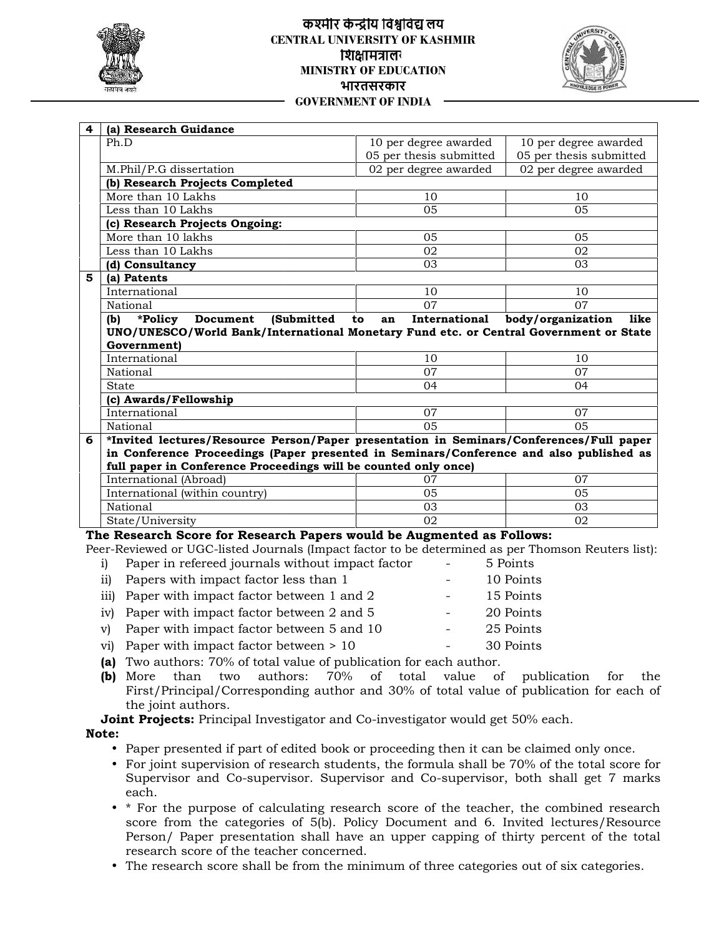

### **लय लयCENTRAL UNIVERSITY OF KASHMIR** शिक्षामंत्रालग **MINISTRY OF EDUCATION भारतसरकार GOVERNMENT OF INDIA**



| 4<br>(a) Research Guidance                                                                                                                                                                                                                                                                                                                                                                                                                                                                                                                                                       |                                      |                                                                                                        |
|----------------------------------------------------------------------------------------------------------------------------------------------------------------------------------------------------------------------------------------------------------------------------------------------------------------------------------------------------------------------------------------------------------------------------------------------------------------------------------------------------------------------------------------------------------------------------------|--------------------------------------|--------------------------------------------------------------------------------------------------------|
| Ph.D                                                                                                                                                                                                                                                                                                                                                                                                                                                                                                                                                                             | 10 per degree awarded                | 10 per degree awarded                                                                                  |
|                                                                                                                                                                                                                                                                                                                                                                                                                                                                                                                                                                                  | 05 per thesis submitted              | 05 per thesis submitted                                                                                |
| M.Phil/P.G dissertation                                                                                                                                                                                                                                                                                                                                                                                                                                                                                                                                                          | 02 per degree awarded                | 02 per degree awarded                                                                                  |
| (b) Research Projects Completed<br>More than 10 Lakhs                                                                                                                                                                                                                                                                                                                                                                                                                                                                                                                            | 10                                   | 10                                                                                                     |
| Less than 10 Lakhs                                                                                                                                                                                                                                                                                                                                                                                                                                                                                                                                                               | 05                                   | 05                                                                                                     |
| (c) Research Projects Ongoing:                                                                                                                                                                                                                                                                                                                                                                                                                                                                                                                                                   |                                      |                                                                                                        |
| More than 10 lakhs                                                                                                                                                                                                                                                                                                                                                                                                                                                                                                                                                               | 05                                   | 05                                                                                                     |
| Less than 10 Lakhs                                                                                                                                                                                                                                                                                                                                                                                                                                                                                                                                                               | 02                                   | 02                                                                                                     |
| (d) Consultancy                                                                                                                                                                                                                                                                                                                                                                                                                                                                                                                                                                  | 03                                   | 03                                                                                                     |
| 5<br>(a) Patents                                                                                                                                                                                                                                                                                                                                                                                                                                                                                                                                                                 |                                      |                                                                                                        |
| International                                                                                                                                                                                                                                                                                                                                                                                                                                                                                                                                                                    | 10                                   | 10                                                                                                     |
| National                                                                                                                                                                                                                                                                                                                                                                                                                                                                                                                                                                         | 07                                   | 07                                                                                                     |
| *Policy<br>Document<br>(Submitted<br>(b)                                                                                                                                                                                                                                                                                                                                                                                                                                                                                                                                         | International<br>to<br>an            | body/organization<br>like                                                                              |
| UNO/UNESCO/World Bank/International Monetary Fund etc. or Central Government or State                                                                                                                                                                                                                                                                                                                                                                                                                                                                                            |                                      |                                                                                                        |
| Government)                                                                                                                                                                                                                                                                                                                                                                                                                                                                                                                                                                      |                                      |                                                                                                        |
| International                                                                                                                                                                                                                                                                                                                                                                                                                                                                                                                                                                    | 10                                   | 10                                                                                                     |
| National                                                                                                                                                                                                                                                                                                                                                                                                                                                                                                                                                                         | 07                                   | 07                                                                                                     |
| State                                                                                                                                                                                                                                                                                                                                                                                                                                                                                                                                                                            | 04                                   | 04                                                                                                     |
| (c) Awards/Fellowship                                                                                                                                                                                                                                                                                                                                                                                                                                                                                                                                                            |                                      |                                                                                                        |
| International                                                                                                                                                                                                                                                                                                                                                                                                                                                                                                                                                                    | 07                                   | 07                                                                                                     |
| National                                                                                                                                                                                                                                                                                                                                                                                                                                                                                                                                                                         | 0 <sub>5</sub>                       | 05                                                                                                     |
| *Invited lectures/Resource Person/Paper presentation in Seminars/Conferences/Full paper<br>6                                                                                                                                                                                                                                                                                                                                                                                                                                                                                     |                                      |                                                                                                        |
| in Conference Proceedings (Paper presented in Seminars/Conference and also published as                                                                                                                                                                                                                                                                                                                                                                                                                                                                                          |                                      |                                                                                                        |
| full paper in Conference Proceedings will be counted only once)<br>International (Abroad)                                                                                                                                                                                                                                                                                                                                                                                                                                                                                        | 07                                   | 07                                                                                                     |
| International (within country)                                                                                                                                                                                                                                                                                                                                                                                                                                                                                                                                                   | 05                                   | 05                                                                                                     |
| National                                                                                                                                                                                                                                                                                                                                                                                                                                                                                                                                                                         | 03                                   | 03                                                                                                     |
| State/University                                                                                                                                                                                                                                                                                                                                                                                                                                                                                                                                                                 | $\overline{02}$                      | 02                                                                                                     |
| Paper in refereed journals without impact factor<br>i)<br>Papers with impact factor less than 1<br>$\overline{11}$<br>Paper with impact factor between 1 and 2<br>$\overline{111}$<br>Paper with impact factor between 2 and 5<br>iv)<br>Paper with impact factor between 5 and 10<br>$\mathbf{v}$<br>Paper with impact factor between > 10<br>vi)<br>(a) Two authors: 70% of total value of publication for each author.<br>authors:<br>(b) More<br>than<br>two<br>First/Principal/Corresponding author and 30% of total value of publication for each of<br>the joint authors. | ÷.<br>70%<br>of total<br>value<br>of | 5 Points<br>10 Points<br>15 Points<br>20 Points<br>25 Points<br>30 Points<br>publication<br>for<br>the |
| Joint Projects: Principal Investigator and Co-investigator would get 50% each.                                                                                                                                                                                                                                                                                                                                                                                                                                                                                                   |                                      |                                                                                                        |
| Note:                                                                                                                                                                                                                                                                                                                                                                                                                                                                                                                                                                            |                                      |                                                                                                        |
| • Paper presented if part of edited book or proceeding then it can be claimed only once.<br>• For joint supervision of research students, the formula shall be 70% of the total score for                                                                                                                                                                                                                                                                                                                                                                                        |                                      | Supervisor and Co-supervisor. Supervisor and Co-supervisor, both shall get 7 marks                     |

#### **The Research Score for Research Papers would be Augmented as Follows:**

| i)              | Paper in refereed journals without impact factor                                       | 5 Points  |
|-----------------|----------------------------------------------------------------------------------------|-----------|
| $\overline{11}$ | Papers with impact factor less than 1                                                  | 10 Points |
|                 | iii) Paper with impact factor between 1 and 2                                          | 15 Points |
|                 | iv) Paper with impact factor between 2 and 5                                           | 20 Points |
|                 | v) Paper with impact factor between 5 and 10                                           | 25 Points |
|                 | vi) Paper with impact factor between $> 10$                                            | 30 Points |
|                 | (a) Two authors: 70% of total value of publication for each author.                    |           |
|                 | than two authors: 70% of total value of publication for<br>(b) More                    | the       |
|                 | First/Principal/Corresponding author and 30% of total value of publication for each of |           |
|                 | the joint authors.                                                                     |           |
|                 | <b>Joint Projects:</b> Principal Investigator and Co-investigator would get 50% each.  |           |

- 
- **(a)** Two authors: 70% of total value of publication for each author. **(b)** More than two authors: 70% of total value of publication for the First/Principal/Corresponding author and 30% of total value of publication for each of the joint authors.

#### **Note:**

- Paper presented if part of edited book or proceeding then it can be claimed only once.
- For joint supervision of research students, the formula shall be 70% of the total score for Supervisor and Co-supervisor. Supervisor and Co-supervisor, both shall get 7 marks each. • Paper presented if part of edited book or proceeding then it can be claimed only once.<br>• For joint supervision of research students, the formula shall be 70% of the total score for Supervisor and Co-supervisor. Superviso
- \* For the purpose of calculating research score of the teacher, the combined research score from the categories of 5(b). Policy Document and 6. Invited lectures/Resource Person/ Paper presentation shall have an upper capping of thirty percent of the total<br>research score of the teacher concerned. research score of the teacher concerned.
- The research score shall be from the minimum of three categories out of six categories.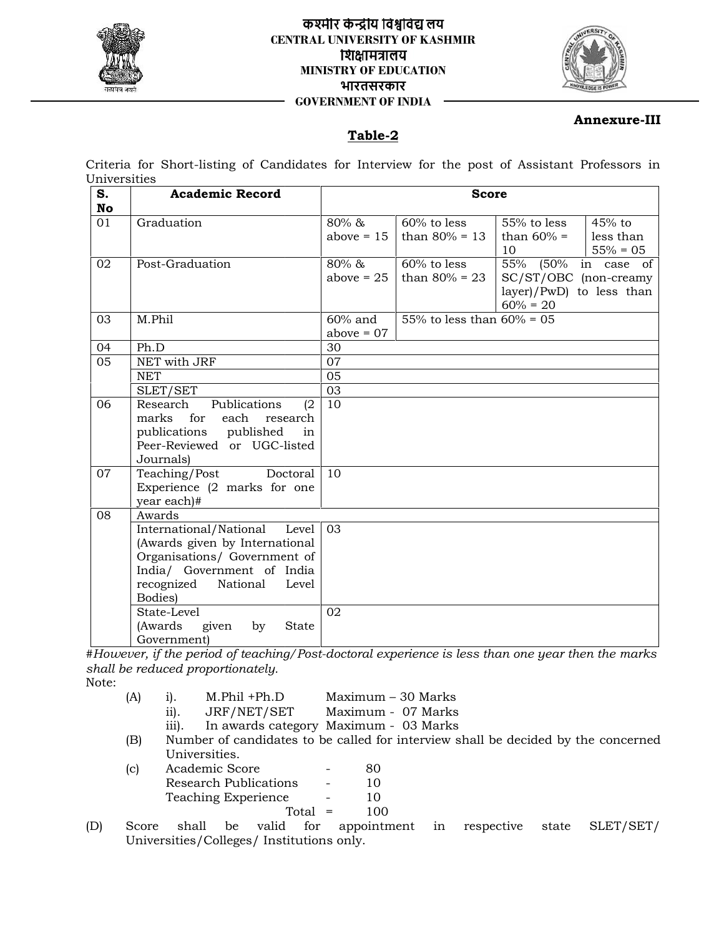

### **लय लयCENTRAL UNIVERSITY OF KASHMIR** शिक्षामंत्रालय **MINISTRY OF EDUCATION भारतसरकार GOVERNMENT OF INDIA**



## **Annexure-III**

## **Table-2**

| S.<br>No | <b>Academic Record</b>                                                                                                                                                                                                          |                                          | <b>Score</b>                    |                                                                                         |
|----------|---------------------------------------------------------------------------------------------------------------------------------------------------------------------------------------------------------------------------------|------------------------------------------|---------------------------------|-----------------------------------------------------------------------------------------|
| 01       | Graduation                                                                                                                                                                                                                      | 80% &<br>above $= 15$                    | 60% to less<br>than $80\% = 13$ | 55% to less<br>45% to<br>than $60\%$ =<br>less than<br>10<br>$55\% = 05$                |
| 02       | Post-Graduation                                                                                                                                                                                                                 | $80\% \&$<br>above $= 25$                | 60% to less<br>than $80\% = 23$ | 55% (50% in case of<br>SC/ST/OBC (non-creamy<br>layer)/PwD) to less than<br>$60\% = 20$ |
| 03       | M.Phil                                                                                                                                                                                                                          | $60\%$ and<br>above $= 07$               | 55% to less than $60\% = 05$    |                                                                                         |
| 04       | Ph.D                                                                                                                                                                                                                            | 30                                       |                                 |                                                                                         |
| 05       | NET with JRF                                                                                                                                                                                                                    | 07                                       |                                 |                                                                                         |
|          | <b>NET</b>                                                                                                                                                                                                                      | 05                                       |                                 |                                                                                         |
|          | SLET/SET                                                                                                                                                                                                                        | 03                                       |                                 |                                                                                         |
| 06       | Publications<br>Research<br>marks<br>for<br>each<br>research<br>publications<br>published<br>Peer-Reviewed or UGC-listed<br>Journals)                                                                                           | 10<br>(2)<br>in                          |                                 |                                                                                         |
| 07       | Teaching/Post<br>Doctoral<br>Experience (2 marks for one<br>year each)#                                                                                                                                                         | 10                                       |                                 |                                                                                         |
| 08       | Awards                                                                                                                                                                                                                          |                                          |                                 |                                                                                         |
|          | International/National<br>Level<br>(Awards given by International<br>Organisations/ Government of<br>India/ Government of India<br>recognized<br>National<br>Level<br>Bodies)<br>State-Level<br>(Awards<br>given<br>by<br>State | 03<br>02                                 |                                 |                                                                                         |
|          | Government)                                                                                                                                                                                                                     |                                          |                                 |                                                                                         |
|          | #However, if the period of teaching/Post-doctoral experience is less than one year then the marks                                                                                                                               |                                          |                                 |                                                                                         |
|          | shall be reduced proportionately.                                                                                                                                                                                               |                                          |                                 |                                                                                         |
| Note:    | M.Phil +Ph.D<br>(A)<br>$i$ ).<br>JRF/NET/SET<br>$\overline{11}$ .<br>In awards category Maximum - 03 Marks<br>iii).<br>(B)<br>Universities.                                                                                     | Maximum - 30 Marks<br>Maximum - 07 Marks |                                 | Number of candidates to be called for interview shall be decided by the concerned       |
|          | Academic Score<br>(c)<br><b>Research Publications</b><br>Teaching Experience                                                                                                                                                    | 80<br>10<br>10<br>100<br>Total $=$       |                                 |                                                                                         |
| D)       | valid<br>Score<br>shall<br>be<br>Universities/Colleges/ Institutions only.                                                                                                                                                      | for<br>appointment                       | in                              | respective<br>SLET/SET/<br>state                                                        |

- (A) i). M.Phil +Ph.D Maximum 30 Marks ii). JRF/NET/SET Maximum - 07 Marks
	- iii). In awards category Maximum 03 Marks
- ii). JRF/NET/SET Maximum 07 Marks<br>iii). In awards category Maximum 03 Marks<br>(B) Number of candidates to be called for interview shall be decided by the concerned Universities.
- (c) Academic Score 80<br>Research Publications 10 Research Publications Teaching Experience - 10  $Total = 100$ (A) i). M.Phil +Ph.D<br>ii). JRF/NET/SET<br>iii). In awards category<br>(B) Number of candidates to b<br>Universities.<br>(c) Academic Score<br>Research Publications<br>Teaching Experience<br>Total<br>Score shall be valid for<br>Universities/Colleges/I
- (D) Score shall be valid for appointment in respective state SLET/SET/ Universities/Colleges/ Institutions only.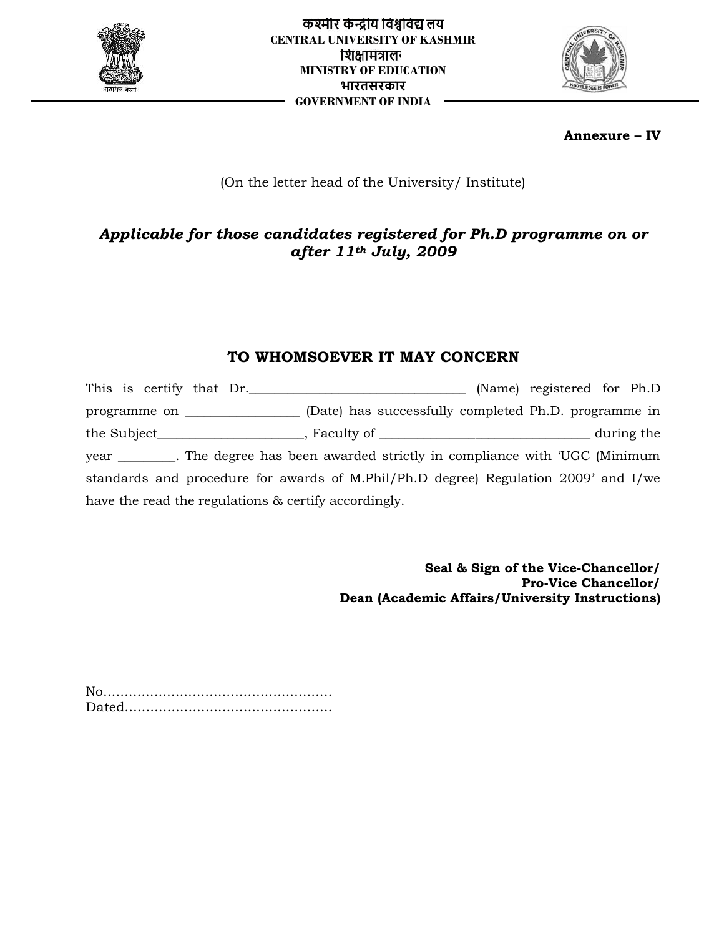



**Annexure – IV**

# (On the letter head of the University/ Institute)

# *Applicable for those candidates registered for Ph.D programme on or after 11th July, 2009*

# **TO WHOMSOEVER IT MAY CONCERN**

This is certify that Dr. programme on \_\_\_\_\_\_\_\_\_\_\_\_\_\_\_\_\_\_ (Date) has successfully completed Ph.D. programme in the Subject\_\_\_\_\_\_\_\_\_\_\_\_\_\_\_\_\_\_\_\_\_\_\_, Faculty of \_\_\_\_\_\_\_\_\_\_\_\_\_\_\_\_\_\_\_\_\_\_\_\_\_\_\_\_\_\_\_\_\_ during the year \_\_\_\_\_\_\_\_\_. The degree has been awarded strictly in compliance with 'UGC (Minimum standards and procedure for awards of M.Phil/Ph.D degree) Regulation 2009' and I/we have the read the regulations & certify accordingly. **For those candidates registered for Ph.D programme on or**<br> **Gander 11<sup>th</sup> July, 2009**<br> **TO WHOMSOEVER IT MAY CONCERN**<br> **CAUSE 19120 CONCERN**<br> **CAUSE 19120 CONCERN**<br> **CAUSE 19120 CONCERN**<br> **CAUSE 19120 IVACUSE 11 M Applicable for those candidates registered for Ph.D programme on or**<br> **After 11<sup>th</sup> July, 2009**<br> **TO WHOMSOEVER IT MAY CONCERN**<br> **Recruit Application** (Nate Dr., The degree has been awarded strictly in compliance with UCC

**Seal & Sign of the Vice-Chancellor/ Pro-Vice Chancellor/** /Seal & Sign of the Vice-Chancellor<br>/Pro-Vice Chancellor<br>Dean (Academic Affairs/University Instructions)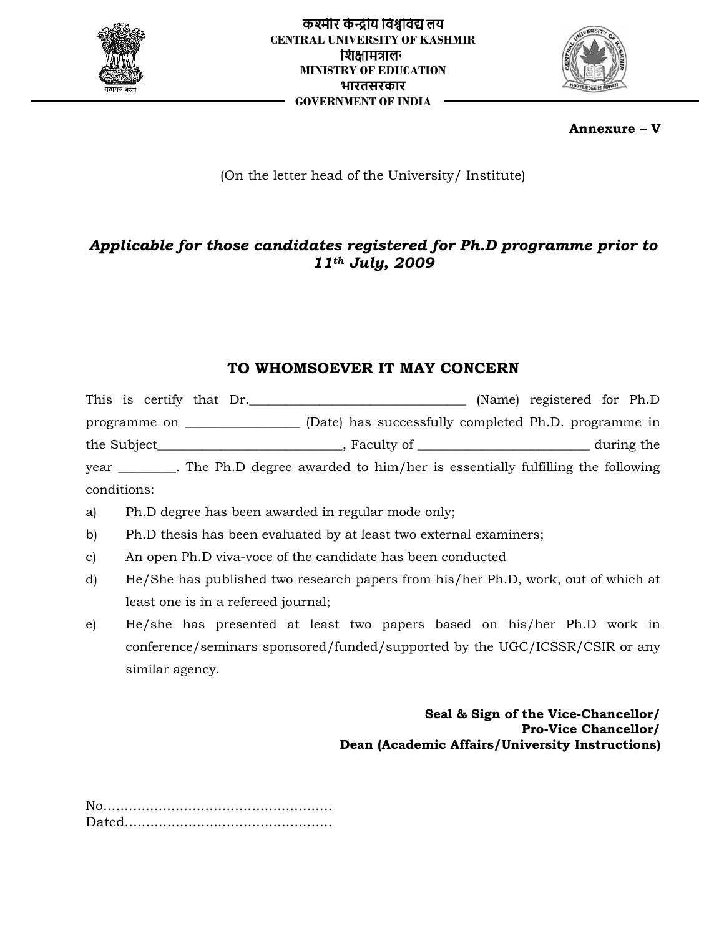



## **Annexure – V**

## (On the letter head of the University/ Institute)

# *Applicable for those candidates registered for Ph.D programme prior to 11th July, 2009*

# **TO WHOMSOEVER IT MAY CONCERN**

This is certify that Dr. \_\_\_\_\_\_\_\_\_\_\_\_\_\_\_\_\_\_\_\_\_\_\_\_\_\_\_\_\_\_\_\_\_\_ (Name) registered for Ph.D programme on \_\_\_\_\_\_\_\_\_\_\_\_\_\_\_\_\_\_ (Date) has successfully completed Ph.D. programme in programme on \_\_\_\_\_\_\_\_\_\_\_\_\_\_\_\_\_\_\_\_ (Date) has successfully completed Ph.D. programme in<br>the Subject\_\_\_\_\_\_\_\_\_\_\_\_\_\_\_\_\_\_\_\_\_\_\_\_\_\_\_\_\_, Faculty of \_\_\_\_\_\_\_\_\_\_\_\_\_\_\_\_\_\_\_\_\_\_\_\_\_\_\_\_\_during the year \_\_\_\_\_\_\_\_\_. The Ph.D degree awarded to him/her is essentially fulfilling the following conditions: **Annexure – V**<br>
(On the letter head of the University/ Institute)<br> **Canarion Canarion Concernsity Concerns and Canarion Concerns and Concerns and Concerns and Concerns and Concerns and Concerns and Concerns and Concerns an Annexure**<br> **Applicable for those candidates registered for Ph.D programme prior<br>
<b>Recruit Line Conference and 11<sup>th</sup> July, 2009**<br> **TO WHOMSOEVER IT MAY CONCERN**<br>
This is criticy that Dr.<br> **Programme on** the subject publis

- a) Ph.D degree has been awarded in regular mode only;
- b) Ph.D thesis has been evaluated by at least two external examiners;
- c) An open Ph.D viva-voce of the candidate has been conducted
- d) He/She has published two research papers from his/her Ph.D, work, out of which at least one is in a refereed journal;
- e) He/she has presented at least two papers based on his/her Ph.D work in conference/seminars sponsored/funded/supported by the UGC/ICSSR/CSIR or any similar agency. Ph.D viva-voce of the candidate has been conducted<br>nas published two research papers from his/her Ph.D, work, out of which at<br>is in a refereed journal;<br>has presented at least two papers based on his/her Ph.D work in<br>ce/sem

**Seal & Sign of the Vice-Chancellor/ Pro-Vice Chancellor/** /Seal & Sign of the Vice-Chancellor<br>/Pro-Vice Chancellor<br>Dean (Academic Affairs/University Instructions)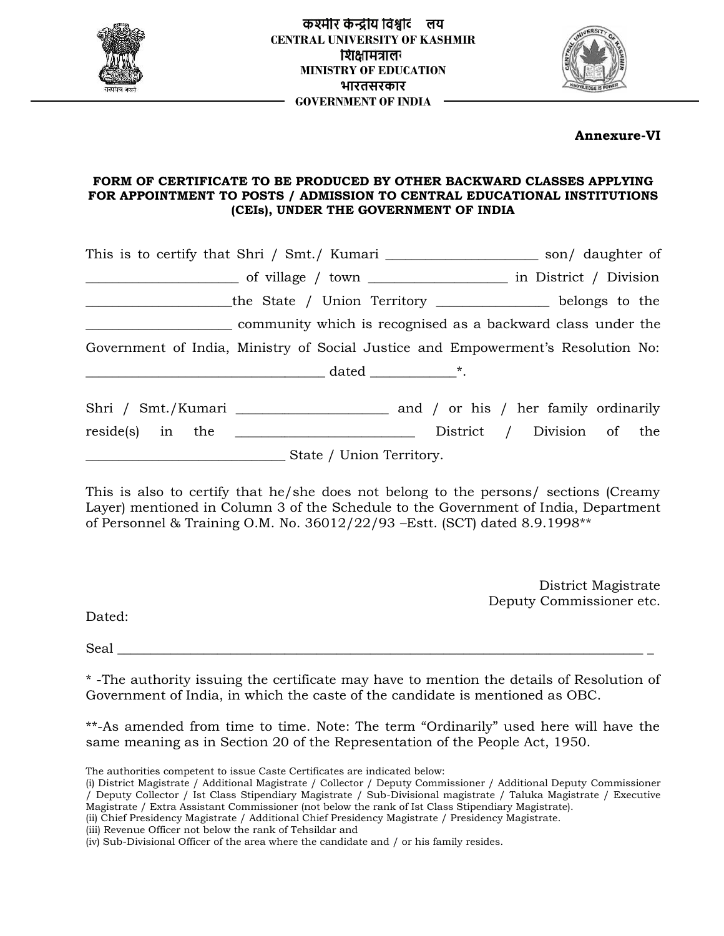



## **Annexure-VI**

### **FORM OF CERTIFICATE TO BE PRODUCED BY OTHER BACKWARD CLASSES APPLYING FOR APPOINTMENT TO POSTS / ADMISSION TO CENTRAL EDUCATIONAL INSTITUTIONS (CEIs), UNDER THE GOVERNMENT OF INDIA**

|        | the State / Union Territory ______________ belongs to the                                                                                                                                                                                                  |
|--------|------------------------------------------------------------------------------------------------------------------------------------------------------------------------------------------------------------------------------------------------------------|
|        | community which is recognised as a backward class under the                                                                                                                                                                                                |
|        | Government of India, Ministry of Social Justice and Empowerment's Resolution No:                                                                                                                                                                           |
|        |                                                                                                                                                                                                                                                            |
|        |                                                                                                                                                                                                                                                            |
|        | State / Union Territory.                                                                                                                                                                                                                                   |
|        | This is also to certify that he/she does not belong to the persons/ sections (Creamy<br>Layer) mentioned in Column 3 of the Schedule to the Government of India, Department<br>of Personnel & Training O.M. No. 36012/22/93 - Estt. (SCT) dated 8.9.1998** |
|        | District Magistrate                                                                                                                                                                                                                                        |
| Dated: | Deputy Commissioner etc.                                                                                                                                                                                                                                   |
|        |                                                                                                                                                                                                                                                            |
|        | *-The authority issuing the certificate may have to mention the details of Resolution of<br>Government of India, in which the caste of the candidate is mentioned as OBC.                                                                                  |
|        | **-As amended from time to time. Note: The term "Ordinarily" used here will have the<br>same meaning as in Section 20 of the Representation of the People Act, 1950.                                                                                       |

The authorities competent to issue Caste Certificates are indicated below:

<sup>(</sup>i) District Magistrate / Additional Magistrate / Collector / Deputy Commissioner / Additional Deputy Commissioner / Deputy Collector / Ist Class Stipendiary Magistrate / Sub-Divisional magistrate / Taluka Magistrate / Executive Magistrate / Extra Assistant Commissioner (not below the rank of Ist Class Stipendiary Magistrate). Caste Certificates are indicated below:<br>Magistrate / Collector / Deputy Commissioner / Additional Deputy Commissioner<br>pendiary Magistrate / Sub-Divisional magistrate / Taluka Magistrate / Executive

<sup>(</sup>ii) Chief Presidency Magistrate / Additional Chief Presidency Magistrate / Presidency Magistrate. Magistrate.

<sup>(</sup>iii) Revenue Officer not below the rank of Tehsildar and

<sup>(</sup>iv) Sub-Divisional Officer of the area where the candidate and / or his family resides.